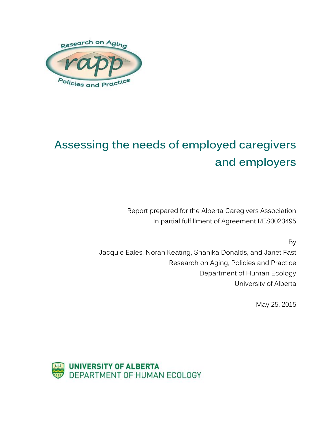

# **Assessing the needs of employed caregivers and employers**

Report prepared for the Alberta Caregivers Association In partial fulfillment of Agreement RES0023495

By

Jacquie Eales, Norah Keating, Shanika Donalds, and Janet Fast Research on Aging, Policies and Practice Department of Human Ecology University of Alberta

May 25, 2015

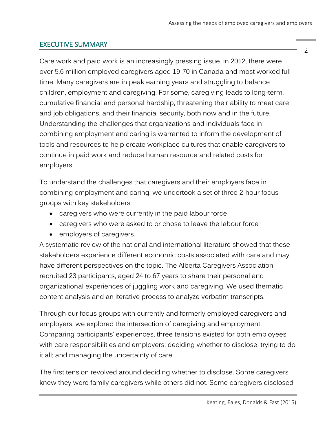## <span id="page-1-0"></span>EXECUTIVE SUMMARY

Care work and paid work is an increasingly pressing issue. In 2012, there were over 5.6 million employed caregivers aged 19-70 in Canada and most worked fulltime. Many caregivers are in peak earning years and struggling to balance children, employment and caregiving. For some, caregiving leads to long-term, cumulative financial and personal hardship, threatening their ability to meet care and job obligations, and their financial security, both now and in the future. Understanding the challenges that organizations and individuals face in combining employment and caring is warranted to inform the development of tools and resources to help create workplace cultures that enable caregivers to continue in paid work and reduce human resource and related costs for employers.

To understand the challenges that caregivers and their employers face in combining employment and caring, we undertook a set of three 2-hour focus groups with key stakeholders:

- caregivers who were currently in the paid labour force
- caregivers who were asked to or chose to leave the labour force
- employers of caregivers.

A systematic review of the national and international literature showed that these stakeholders experience different economic costs associated with care and may have different perspectives on the topic. The Alberta Caregivers Association recruited 23 participants, aged 24 to 67 years to share their personal and organizational experiences of juggling work and caregiving. We used thematic content analysis and an iterative process to analyze verbatim transcripts.

Through our focus groups with currently and formerly employed caregivers and employers, we explored the intersection of caregiving and employment. Comparing participants' experiences, three tensions existed for both employees with care responsibilities and employers: deciding whether to disclose; trying to do it all; and managing the uncertainty of care.

The first tension revolved around deciding whether to disclose. Some caregivers knew they were family caregivers while others did not. Some caregivers disclosed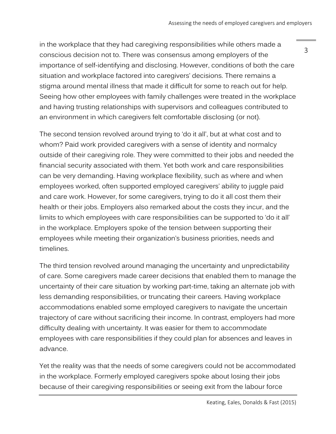in the workplace that they had caregiving responsibilities while others made a conscious decision not to. There was consensus among employers of the importance of self-identifying and disclosing. However, conditions of both the care situation and workplace factored into caregivers' decisions. There remains a stigma around mental illness that made it difficult for some to reach out for help. Seeing how other employees with family challenges were treated in the workplace and having trusting relationships with supervisors and colleagues contributed to an environment in which caregivers felt comfortable disclosing (or not).

The second tension revolved around trying to 'do it all', but at what cost and to whom? Paid work provided caregivers with a sense of identity and normalcy outside of their caregiving role. They were committed to their jobs and needed the financial security associated with them. Yet both work and care responsibilities can be very demanding. Having workplace flexibility, such as where and when employees worked, often supported employed caregivers' ability to juggle paid and care work. However, for some caregivers, trying to do it all cost them their health or their jobs. Employers also remarked about the costs they incur, and the limits to which employees with care responsibilities can be supported to 'do it all' in the workplace. Employers spoke of the tension between supporting their employees while meeting their organization's business priorities, needs and timelines.

The third tension revolved around managing the uncertainty and unpredictability of care. Some caregivers made career decisions that enabled them to manage the uncertainty of their care situation by working part-time, taking an alternate job with less demanding responsibilities, or truncating their careers. Having workplace accommodations enabled some employed caregivers to navigate the uncertain trajectory of care without sacrificing their income. In contrast, employers had more difficulty dealing with uncertainty. It was easier for them to accommodate employees with care responsibilities if they could plan for absences and leaves in advance.

Yet the reality was that the needs of some caregivers could not be accommodated in the workplace. Formerly employed caregivers spoke about losing their jobs because of their caregiving responsibilities or seeing exit from the labour force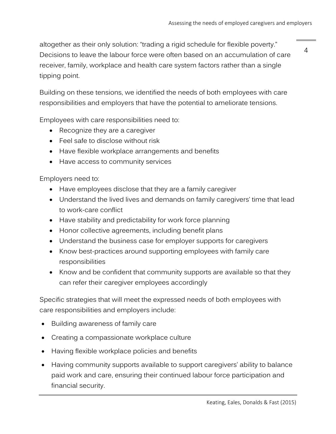altogether as their only solution: "trading a rigid schedule for flexible poverty." Decisions to leave the labour force were often based on an accumulation of care receiver, family, workplace and health care system factors rather than a single tipping point.

4

Building on these tensions, we identified the needs of both employees with care responsibilities and employers that have the potential to ameliorate tensions.

Employees with care responsibilities need to:

- Recognize they are a caregiver
- Feel safe to disclose without risk
- Have flexible workplace arrangements and benefits
- Have access to community services

Employers need to:

- Have employees disclose that they are a family caregiver
- Understand the lived lives and demands on family caregivers' time that lead to work-care conflict
- Have stability and predictability for work force planning
- Honor collective agreements, including benefit plans
- Understand the business case for employer supports for caregivers
- Know best-practices around supporting employees with family care responsibilities
- Know and be confident that community supports are available so that they can refer their caregiver employees accordingly

Specific strategies that will meet the expressed needs of both employees with care responsibilities and employers include:

- Building awareness of family care
- Creating a compassionate workplace culture
- Having flexible workplace policies and benefits
- Having community supports available to support caregivers' ability to balance paid work and care, ensuring their continued labour force participation and financial security.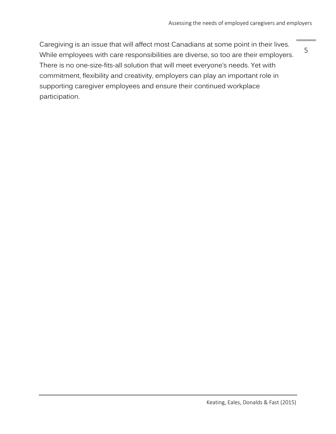5

Caregiving is an issue that will affect most Canadians at some point in their lives. While employees with care responsibilities are diverse, so too are their employers. There is no one-size-fits-all solution that will meet everyone's needs. Yet with commitment, flexibility and creativity, employers can play an important role in supporting caregiver employees and ensure their continued workplace participation.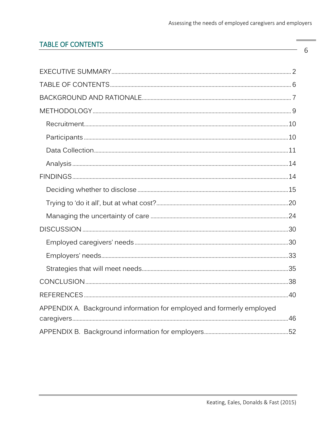$\,6\,$ 

# <span id="page-5-0"></span>**TABLE OF CONTENTS**

| APPENDIX A. Background information for employed and formerly employed |  |
|-----------------------------------------------------------------------|--|
|                                                                       |  |
|                                                                       |  |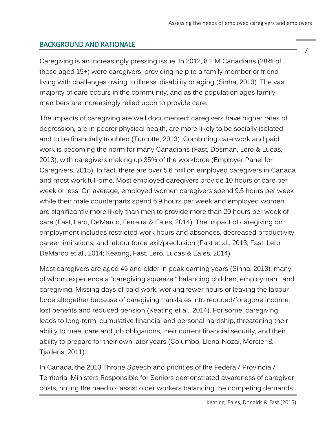## <span id="page-6-0"></span>BACKGROUND AND RATIONALE

Caregiving is an increasingly pressing issue. In 2012, 8.1 M Canadians (28% of those aged 15+) were caregivers, providing help to a family member or friend living with challenges owing to illness, disability or aging (Sinha, 2013). The vast majority of care occurs in the community, and as the population ages family members are increasingly relied upon to provide care.

The impacts of caregiving are well documented: caregivers have higher rates of depression, are in poorer physical health, are more likely to be socially isolated and to be financially troubled (Turcotte, 2013). Combining care work and paid work is becoming the norm for many Canadians (Fast, Dosman, Lero & Lucas, 2013), with caregivers making up 35% of the workforce (Employer Panel for Caregivers, 2015). In fact, there are over 5.6 million employed caregivers in Canada and most work full-time. Most employed caregivers provide 10 hours of care per week or less. On average, employed women caregivers spend 9.5 hours per week while their male counterparts spend 6.9 hours per week and employed women are significantly more likely than men to provide more than 20 hours per week of care (Fast, Lero, DeMarco, Ferreira & Eales, 2014). The impact of caregiving on employment includes restricted work hours and absences, decreased productivity, career limitations, and labour force exit/preclusion (Fast et al., 2013; Fast, Lero, DeMarco et al., 2014; Keating, Fast, Lero, Lucas & Eales, 2014).

Most caregivers are aged 45 and older in peak earning years (Sinha, 2013), many of whom experience a "caregiving squeeze," balancing children, employment, and caregiving. Missing days of paid work, working fewer hours or leaving the labour force altogether because of caregiving translates into reduced/foregone income, lost benefits and reduced pension (Keating et al., 2014). For some, caregiving leads to long-term, cumulative financial and personal hardship, threatening their ability to meet care and job obligations, their current financial security, and their ability to prepare for their own later years (Columbo, Llena-Nozal, Mercier & Tjadens, 2011).

In Canada, the 2013 Throne Speech and priorities of the Federal/ Provincial/ Territorial Ministers Responsible for Seniors demonstrated awareness of caregiver costs, noting the need to "assist older workers balancing the competing demands

Keating, Eales, Donalds & Fast (2015)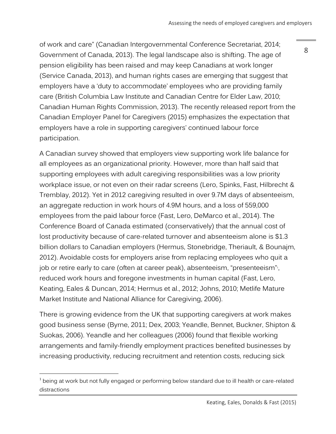of work and care" (Canadian Intergovernmental Conference Secretariat, 2014; Government of Canada, 2013). The legal landscape also is shifting. The age of pension eligibility has been raised and may keep Canadians at work longer (Service Canada, 2013), and human rights cases are emerging that suggest that employers have a 'duty to accommodate' employees who are providing family care (British Columbia Law Institute and Canadian Centre for Elder Law, 2010; Canadian Human Rights Commission, 2013). The recently released report from the Canadian Employer Panel for Caregivers (2015) emphasizes the expectation that employers have a role in supporting caregivers' continued labour force participation.

A Canadian survey showed that employers view supporting work life balance for all employees as an organizational priority. However, more than half said that supporting employees with adult caregiving responsibilities was a low priority workplace issue, or not even on their radar screens (Lero, Spinks, Fast, Hilbrecht & Tremblay, 2012). Yet in 2012 caregiving resulted in over 9.7M days of absenteeism, an aggregate reduction in work hours of 4.9M hours, and a loss of 559,000 employees from the paid labour force (Fast, Lero, DeMarco et al., 2014). The Conference Board of Canada estimated (conservatively) that the annual cost of lost productivity because of care-related turnover and absenteeism alone is \$1.3 billion dollars to Canadian employers (Hermus, Stonebridge, Theriault, & Bounajm, 2012). Avoidable costs for employers arise from replacing employees who quit a job or retire early to care (often at career peak), absenteeism, "presenteeism"<sub>'</sub>, reduced work hours and foregone investments in human capital (Fast, Lero, Keating, Eales & Duncan, 2014; Hermus et al., 2012; Johns, 2010; Metlife Mature Market Institute and National Alliance for Caregiving, 2006).

There is growing evidence from the UK that supporting caregivers at work makes good business sense (Byrne, 2011; Dex, 2003; Yeandle, Bennet, Buckner, Shipton & Suokas, 2006). Yeandle and her colleagues (2006) found that flexible working arrangements and family-friendly employment practices benefited businesses by increasing productivity, reducing recruitment and retention costs, reducing sick

 $\overline{a}$ 

 $1$  being at work but not fully engaged or performing below standard due to ill health or care-related distractions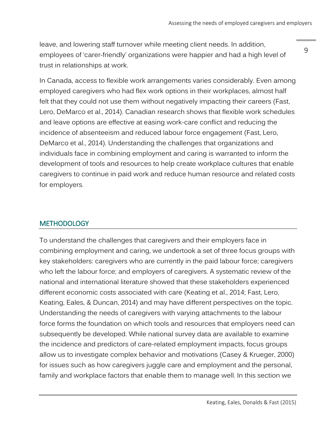leave, and lowering staff turnover while meeting client needs. In addition, employees of 'carer-friendly' organizations were happier and had a high level of trust in relationships at work.

9

In Canada, access to flexible work arrangements varies considerably. Even among employed caregivers who had flex work options in their workplaces, almost half felt that they could not use them without negatively impacting their careers (Fast, Lero, DeMarco et al., 2014). Canadian research shows that flexible work schedules and leave options are effective at easing work-care conflict and reducing the incidence of absenteeism and reduced labour force engagement (Fast, Lero, DeMarco et al., 2014). Understanding the challenges that organizations and individuals face in combining employment and caring is warranted to inform the development of tools and resources to help create workplace cultures that enable caregivers to continue in paid work and reduce human resource and related costs for employers.

## <span id="page-8-0"></span>**METHODOLOGY**

To understand the challenges that caregivers and their employers face in combining employment and caring, we undertook a set of three focus groups with key stakeholders: caregivers who are currently in the paid labour force; caregivers who left the labour force; and employers of caregivers. A systematic review of the national and international literature showed that these stakeholders experienced different economic costs associated with care (Keating et al., 2014; Fast, Lero, Keating, Eales, & Duncan, 2014) and may have different perspectives on the topic. Understanding the needs of caregivers with varying attachments to the labour force forms the foundation on which tools and resources that employers need can subsequently be developed. While national survey data are available to examine the incidence and predictors of care-related employment impacts, focus groups allow us to investigate complex behavior and motivations (Casey & Krueger, 2000) for issues such as how caregivers juggle care and employment and the personal, family and workplace factors that enable them to manage well. In this section we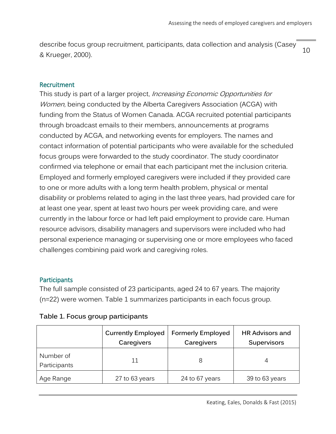10 describe focus group recruitment, participants, data collection and analysis (Casey & Krueger, 2000).

#### <span id="page-9-0"></span>Recruitment

This study is part of a larger project, *Increasing Economic Opportunities for* Women, being conducted by the Alberta Caregivers Association (ACGA) with funding from the Status of Women Canada. ACGA recruited potential participants through broadcast emails to their members, announcements at programs conducted by ACGA, and networking events for employers. The names and contact information of potential participants who were available for the scheduled focus groups were forwarded to the study coordinator. The study coordinator confirmed via telephone or email that each participant met the inclusion criteria. Employed and formerly employed caregivers were included if they provided care to one or more adults with a long term health problem, physical or mental disability or problems related to aging in the last three years, had provided care for at least one year, spent at least two hours per week providing care, and were currently in the labour force or had left paid employment to provide care. Human resource advisors, disability managers and supervisors were included who had personal experience managing or supervising one or more employees who faced challenges combining paid work and caregiving roles.

#### <span id="page-9-1"></span>**Participants**

The full sample consisted of 23 participants, aged 24 to 67 years. The majority (n=22) were women. Table 1 summarizes participants in each focus group.

|                           | <b>Currently Employed</b><br>Caregivers | <b>Formerly Employed</b><br>Caregivers | <b>HR Advisors and</b><br><b>Supervisors</b> |
|---------------------------|-----------------------------------------|----------------------------------------|----------------------------------------------|
| Number of<br>Participants | 11                                      | 8                                      |                                              |
| Age Range                 | 27 to 63 years                          | 24 to 67 years                         | 39 to 63 years                               |

#### **Table 1. Focus group participants**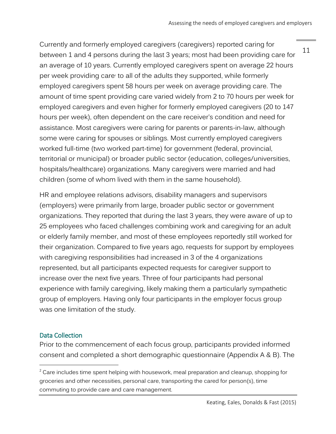11

Currently and formerly employed caregivers (caregivers) reported caring for between 1 and 4 persons during the last 3 years; most had been providing care for an average of 10 years. Currently employed caregivers spent on average 22 hours per week providing care<sup>,</sup> to all of the adults they supported, while formerly employed caregivers spent 58 hours per week on average providing care. The amount of time spent providing care varied widely from 2 to 70 hours per week for employed caregivers and even higher for formerly employed caregivers (20 to 147 hours per week), often dependent on the care receiver's condition and need for assistance. Most caregivers were caring for parents or parents-in-law, although some were caring for spouses or siblings. Most currently employed caregivers worked full-time (two worked part-time) for government (federal, provincial, territorial or municipal) or broader public sector (education, colleges/universities, hospitals/healthcare) organizations. Many caregivers were married and had children (some of whom lived with them in the same household).

HR and employee relations advisors, disability managers and supervisors (employers) were primarily from large, broader public sector or government organizations. They reported that during the last 3 years, they were aware of up to 25 employees who faced challenges combining work and caregiving for an adult or elderly family member, and most of these employees reportedly still worked for their organization. Compared to five years ago, requests for support by employees with caregiving responsibilities had increased in 3 of the 4 organizations represented, but all participants expected requests for caregiver support to increase over the next five years. Three of four participants had personal experience with family caregiving, likely making them a particularly sympathetic group of employers. Having only four participants in the employer focus group was one limitation of the study.

## <span id="page-10-0"></span>Data Collection

 $\overline{a}$ 

Prior to the commencement of each focus group, participants provided informed consent and completed a short demographic questionnaire (Appendix A & B). The

 $2$  Care includes time spent helping with housework, meal preparation and cleanup, shopping for groceries and other necessities, personal care, transporting the cared for person(s), time commuting to provide care and care management.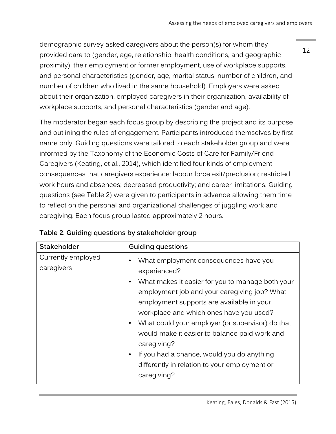demographic survey asked caregivers about the person(s) for whom they provided care to (gender, age, relationship, health conditions, and geographic proximity), their employment or former employment, use of workplace supports, and personal characteristics (gender, age, marital status, number of children, and number of children who lived in the same household). Employers were asked about their organization, employed caregivers in their organization, availability of workplace supports, and personal characteristics (gender and age).

The moderator began each focus group by describing the project and its purpose and outlining the rules of engagement. Participants introduced themselves by first name only. Guiding questions were tailored to each stakeholder group and were informed by the Taxonomy of the Economic Costs of Care for Family/Friend Caregivers (Keating, et al., 2014), which identified four kinds of employment consequences that caregivers experience: labour force exit/preclusion; restricted work hours and absences; decreased productivity; and career limitations. Guiding questions (see Table 2) were given to participants in advance allowing them time to reflect on the personal and organizational challenges of juggling work and caregiving. Each focus group lasted approximately 2 hours.

| <b>Stakeholder</b>               | <b>Guiding questions</b>                                                                                                                                                                                                                                                                                                                                                                                                                                                                                                        |
|----------------------------------|---------------------------------------------------------------------------------------------------------------------------------------------------------------------------------------------------------------------------------------------------------------------------------------------------------------------------------------------------------------------------------------------------------------------------------------------------------------------------------------------------------------------------------|
| Currently employed<br>caregivers | What employment consequences have you<br>$\bullet$<br>experienced?<br>What makes it easier for you to manage both your<br>$\bullet$<br>employment job and your caregiving job? What<br>employment supports are available in your<br>workplace and which ones have you used?<br>What could your employer (or supervisor) do that<br>٠<br>would make it easier to balance paid work and<br>caregiving?<br>If you had a chance, would you do anything<br>$\bullet$<br>differently in relation to your employment or<br>caregiving? |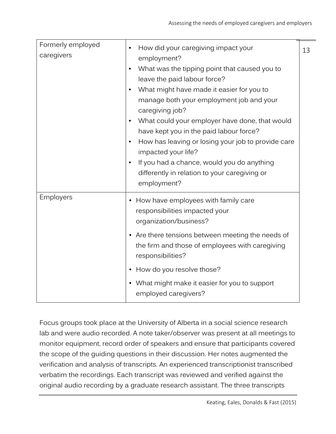| Formerly employed<br>caregivers | How did your caregiving impact your<br>$\bullet$<br>employment?                                                                                                                                                                                                                                                                                                                                                                                                                                                          | 13 |
|---------------------------------|--------------------------------------------------------------------------------------------------------------------------------------------------------------------------------------------------------------------------------------------------------------------------------------------------------------------------------------------------------------------------------------------------------------------------------------------------------------------------------------------------------------------------|----|
|                                 | What was the tipping point that caused you to<br>$\bullet$<br>leave the paid labour force?<br>What might have made it easier for you to<br>$\bullet$<br>manage both your employment job and your<br>caregiving job?<br>What could your employer have done, that would<br>$\bullet$<br>have kept you in the paid labour force?<br>How has leaving or losing your job to provide care<br>impacted your life?<br>If you had a chance, would you do anything<br>differently in relation to your caregiving or<br>employment? |    |
| Employers                       | • How have employees with family care<br>responsibilities impacted your<br>organization/business?                                                                                                                                                                                                                                                                                                                                                                                                                        |    |
|                                 | • Are there tensions between meeting the needs of<br>the firm and those of employees with caregiving<br>responsibilities?                                                                                                                                                                                                                                                                                                                                                                                                |    |
|                                 | • How do you resolve those?                                                                                                                                                                                                                                                                                                                                                                                                                                                                                              |    |
|                                 | • What might make it easier for you to support<br>employed caregivers?                                                                                                                                                                                                                                                                                                                                                                                                                                                   |    |

Focus groups took place at the University of Alberta in a social science research lab and were audio recorded. A note taker/observer was present at all meetings to monitor equipment, record order of speakers and ensure that participants covered the scope of the guiding questions in their discussion. Her notes augmented the verification and analysis of transcripts. An experienced transcriptionist transcribed verbatim the recordings. Each transcript was reviewed and verified against the original audio recording by a graduate research assistant. The three transcripts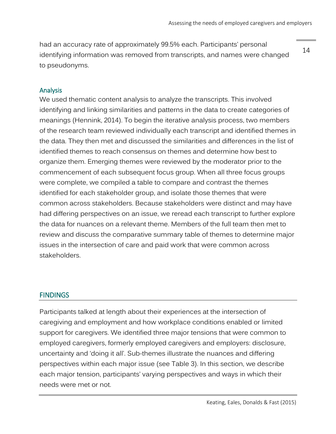had an accuracy rate of approximately 99.5% each. Participants' personal identifying information was removed from transcripts, and names were changed to pseudonyms.

14

#### <span id="page-13-0"></span>Analysis

We used thematic content analysis to analyze the transcripts. This involved identifying and linking similarities and patterns in the data to create categories of meanings (Hennink, 2014). To begin the iterative analysis process, two members of the research team reviewed individually each transcript and identified themes in the data. They then met and discussed the similarities and differences in the list of identified themes to reach consensus on themes and determine how best to organize them. Emerging themes were reviewed by the moderator prior to the commencement of each subsequent focus group. When all three focus groups were complete, we compiled a table to compare and contrast the themes identified for each stakeholder group, and isolate those themes that were common across stakeholders. Because stakeholders were distinct and may have had differing perspectives on an issue, we reread each transcript to further explore the data for nuances on a relevant theme. Members of the full team then met to review and discuss the comparative summary table of themes to determine major issues in the intersection of care and paid work that were common across stakeholders.

### <span id="page-13-1"></span>**FINDINGS**

Participants talked at length about their experiences at the intersection of caregiving and employment and how workplace conditions enabled or limited support for caregivers. We identified three major tensions that were common to employed caregivers, formerly employed caregivers and employers: disclosure, uncertainty and 'doing it all'. Sub-themes illustrate the nuances and differing perspectives within each major issue (see Table 3). In this section, we describe each major tension, participants' varying perspectives and ways in which their needs were met or not.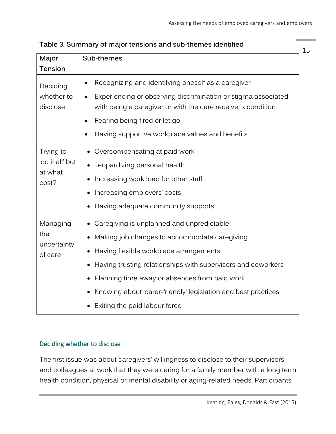| Major                      | Sub-themes                                                                                                                    | 15 |
|----------------------------|-------------------------------------------------------------------------------------------------------------------------------|----|
| Tension                    |                                                                                                                               |    |
| Deciding                   | Recognizing and identifying oneself as a caregiver                                                                            |    |
| whether to<br>disclose     | Experiencing or observing discrimination or stigma associated<br>with being a caregiver or with the care receiver's condition |    |
|                            | Fearing being fired or let go                                                                                                 |    |
|                            | Having supportive workplace values and benefits                                                                               |    |
| Trying to                  | Overcompensating at paid work                                                                                                 |    |
| 'do it all' but<br>at what | Jeopardizing personal health                                                                                                  |    |
| cost?                      | Increasing work load for other staff                                                                                          |    |
|                            | Increasing employers' costs                                                                                                   |    |
|                            | Having adequate community supports                                                                                            |    |
| Managing                   | Caregiving is unplanned and unpredictable                                                                                     |    |
| the                        | Making job changes to accommodate caregiving                                                                                  |    |
| uncertainty<br>of care     | Having flexible workplace arrangements                                                                                        |    |
|                            | Having trusting relationships with supervisors and coworkers                                                                  |    |
|                            | Planning time away or absences from paid work                                                                                 |    |
|                            | Knowing about 'carer-friendly' legislation and best practices                                                                 |    |
|                            | Exiting the paid labour force                                                                                                 |    |

**Table 3. Summary of major tensions and sub-themes identified**

## <span id="page-14-0"></span>Deciding whether to disclose

The first issue was about caregivers' willingness to disclose to their supervisors and colleagues at work that they were caring for a family member with a long term health condition, physical or mental disability or aging-related needs. Participants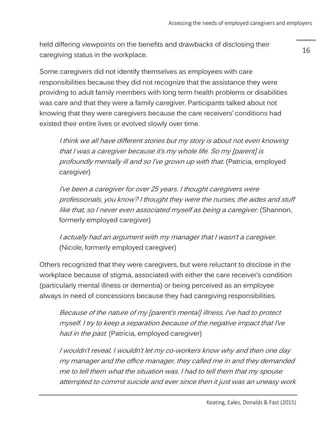held differing viewpoints on the benefits and drawbacks of disclosing their caregiving status in the workplace.

Some caregivers did not identify themselves as employees with care responsibilities because they did not recognize that the assistance they were providing to adult family members with long term health problems or disabilities was care and that they were a family caregiver. Participants talked about not knowing that they were caregivers because the care receivers' conditions had existed their entire lives or evolved slowly over time.

I think we all have different stories but my story is about not even knowing that I was a caregiver because it's my whole life. So my [parent] is profoundly mentally ill and so I've grown up with that. (Patricia, employed caregiver)

I've been a caregiver for over 25 years. I thought caregivers were professionals, you know? I thought they were the nurses, the aides and stuff like that, so I never even associated myself as being a caregiver. (Shannon, formerly employed caregiver)

I actually had an argument with my manager that I wasn't a caregiver. (Nicole, formerly employed caregiver)

Others recognized that they were caregivers, but were reluctant to disclose in the workplace because of stigma, associated with either the care receiver's condition (particularly mental illness or dementia) or being perceived as an employee always in need of concessions because they had caregiving responsibilities.

Because of the nature of my [parent's mental] illness, I've had to protect myself. I try to keep a separation because of the negative impact that I've had in the past. (Patricia, employed caregiver)

I wouldn't reveal, I wouldn't let my co-workers know why and then one day my manager and the office manager, they called me in and they demanded me to tell them what the situation was. I had to tell them that my spouse attempted to commit suicide and ever since then it just was an uneasy work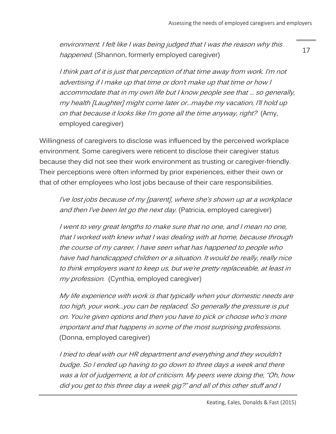environment. I felt like I was being judged that I was the reason why this happened. (Shannon, formerly employed caregiver)

I think part of it is just that perception of that time away from work. I'm not advertising if I make up that time or don't make up that time or how I accommodate that in my own life but I know people see that … so generally, my health [Laughter] might come later or…maybe my vacation, I'll hold up on that because it looks like I'm gone all the time anyway, right? (Amy, employed caregiver)

Willingness of caregivers to disclose was influenced by the perceived workplace environment. Some caregivers were reticent to disclose their caregiver status because they did not see their work environment as trusting or caregiver-friendly. Their perceptions were often informed by prior experiences, either their own or that of other employees who lost jobs because of their care responsibilities.

I've lost jobs because of my [parent], where she's shown up at a workplace and then I've been let go the next day. (Patricia, employed caregiver)

I went to very great lengths to make sure that no one, and I mean no one, that I worked with knew what I was dealing with at home, because through the course of my career, I have seen what has happened to people who have had handicapped children or a situation. It would be really, really nice to think employers want to keep us, but we're pretty replaceable, at least in my profession. (Cynthia, employed caregiver)

My life experience with work is that typically when your domestic needs are too high, your work…you can be replaced. So generally the pressure is put on. You're given options and then you have to pick or choose who's more important and that happens in some of the most surprising professions. (Donna, employed caregiver)

I tried to deal with our HR department and everything and they wouldn't budge. So I ended up having to go down to three days a week and there was a lot of judgement, a lot of criticism. My peers were doing the, "Oh, how did you get to this three day a week gig?" and all of this other stuff and I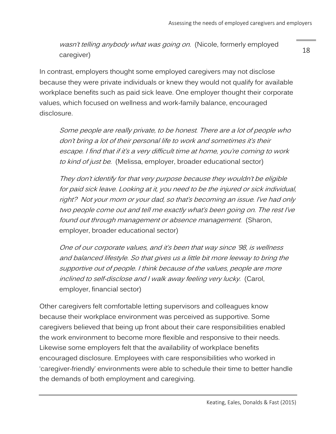wasn't telling anybody what was going on. (Nicole, formerly employed caregiver)

In contrast, employers thought some employed caregivers may not disclose because they were private individuals or knew they would not qualify for available workplace benefits such as paid sick leave. One employer thought their corporate values, which focused on wellness and work-family balance, encouraged disclosure.

Some people are really private, to be honest. There are a lot of people who don't bring a lot of their personal life to work and sometimes it's their escape. I find that if it's a very difficult time at home, you're coming to work to kind of just be. (Melissa, employer, broader educational sector)

They don't identify for that very purpose because they wouldn't be eligible for paid sick leave. Looking at it, you need to be the injured or sick individual, right? Not your mom or your dad, so that's becoming an issue. I've had only two people come out and tell me exactly what's been going on. The rest I've found out through management or absence management. (Sharon, employer, broader educational sector)

One of our corporate values, and it's been that way since '98, is wellness and balanced lifestyle. So that gives us a little bit more leeway to bring the supportive out of people. I think because of the values, people are more inclined to self-disclose and I walk away feeling very lucky. (Carol, employer, financial sector)

Other caregivers felt comfortable letting supervisors and colleagues know because their workplace environment was perceived as supportive. Some caregivers believed that being up front about their care responsibilities enabled the work environment to become more flexible and responsive to their needs. Likewise some employers felt that the availability of workplace benefits encouraged disclosure. Employees with care responsibilities who worked in 'caregiver-friendly' environments were able to schedule their time to better handle the demands of both employment and caregiving.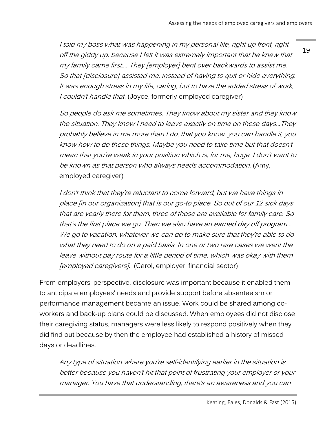I told my boss what was happening in my personal life, right up front, right off the giddy up, because I felt it was extremely important that he knew that my family came first.… They [employer] bent over backwards to assist me. So that [disclosure] assisted me, instead of having to quit or hide everything. It was enough stress in my life, caring, but to have the added stress of work, I couldn't handle that. (Joyce, formerly employed caregiver)

So people do ask me sometimes. They know about my sister and they know the situation. They know I need to leave exactly on time on these days…They probably believe in me more than I do, that you know, you can handle it, you know how to do these things. Maybe you need to take time but that doesn't mean that you're weak in your position which is, for me, huge. I don't want to be known as that person who always needs accommodation. (Amy, employed caregiver)

I don't think that they're reluctant to come forward, but we have things in place [in our organization] that is our go-to place. So out of our 12 sick days that are yearly there for them, three of those are available for family care. So that's the first place we go. Then we also have an earned day off program… We go to vacation, whatever we can do to make sure that they're able to do what they need to do on a paid basis. In one or two rare cases we went the leave without pay route for a little period of time, which was okay with them [employed caregivers]. (Carol, employer, financial sector)

From employers' perspective, disclosure was important because it enabled them to anticipate employees' needs and provide support before absenteeism or performance management became an issue. Work could be shared among coworkers and back-up plans could be discussed. When employees did not disclose their caregiving status, managers were less likely to respond positively when they did find out because by then the employee had established a history of missed days or deadlines.

Any type of situation where you're self-identifying earlier in the situation is better because you haven't hit that point of frustrating your employer or your manager. You have that understanding, there's an awareness and you can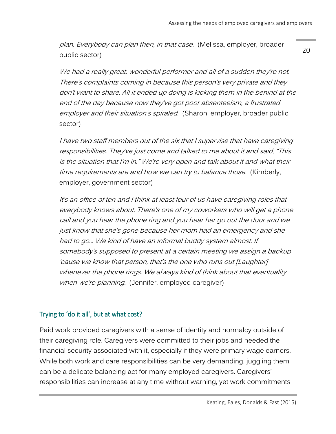plan. Everybody can plan then, in that case. (Melissa, employer, broader public sector)

We had a really great, wonderful performer and all of a sudden they're not. There's complaints coming in because this person's very private and they don't want to share. All it ended up doing is kicking them in the behind at the end of the day because now they've got poor absenteeism, a frustrated employer and their situation's spiraled. (Sharon, employer, broader public sector)

I have two staff members out of the six that I supervise that have caregiving responsibilities. They've just come and talked to me about it and said, "This is the situation that I'm in." We're very open and talk about it and what their time requirements are and how we can try to balance those. (Kimberly, employer, government sector)

It's an office of ten and I think at least four of us have caregiving roles that everybody knows about. There's one of my coworkers who will get a phone call and you hear the phone ring and you hear her go out the door and we just know that she's gone because her mom had an emergency and she had to go… We kind of have an informal buddy system almost. If somebody's supposed to present at a certain meeting we assign a backup 'cause we know that person, that's the one who runs out [Laughter] whenever the phone rings. We always kind of think about that eventuality when we're planning. (Jennifer, employed caregiver)

### <span id="page-19-0"></span>Trying to 'do it all', but at what cost?

Paid work provided caregivers with a sense of identity and normalcy outside of their caregiving role. Caregivers were committed to their jobs and needed the financial security associated with it, especially if they were primary wage earners. While both work and care responsibilities can be very demanding, juggling them can be a delicate balancing act for many employed caregivers. Caregivers' responsibilities can increase at any time without warning, yet work commitments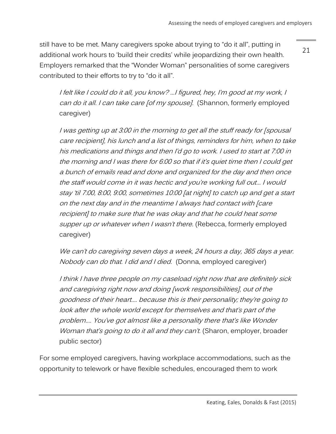still have to be met. Many caregivers spoke about trying to "do it all", putting in additional work hours to 'build their credits' while jeopardizing their own health. Employers remarked that the "Wonder Woman" personalities of some caregivers contributed to their efforts to try to "do it all".

21

I felt like I could do it all, you know? …I figured, hey, I'm good at my work, I can do it all. I can take care [of my spouse]. (Shannon, formerly employed caregiver)

I was getting up at 3:00 in the morning to get all the stuff ready for [spousal care recipient], his lunch and a list of things, reminders for him, when to take his medications and things and then I'd go to work. I used to start at 7:00 in the morning and I was there for 6:00 so that if it's quiet time then I could get a bunch of emails read and done and organized for the day and then once the staff would come in it was hectic and you're working full out… I would stay 'til 7:00, 8:00, 9:00, sometimes 10:00 [at night] to catch up and get a start on the next day and in the meantime I always had contact with [care recipient] to make sure that he was okay and that he could heat some supper up or whatever when I wasn't there. (Rebecca, formerly employed caregiver)

We can't do caregiving seven days a week, 24 hours a day, 365 days a year. Nobody can do that. I did and I died. (Donna, employed caregiver)

I think I have three people on my caseload right now that are definitely sick and caregiving right now and doing [work responsibilities], out of the goodness of their heart…. because this is their personality; they're going to look after the whole world except for themselves and that's part of the problem…. You've got almost like a personality there that's like Wonder Woman that's going to do it all and they can't. (Sharon, employer, broader public sector)

For some employed caregivers, having workplace accommodations, such as the opportunity to telework or have flexible schedules, encouraged them to work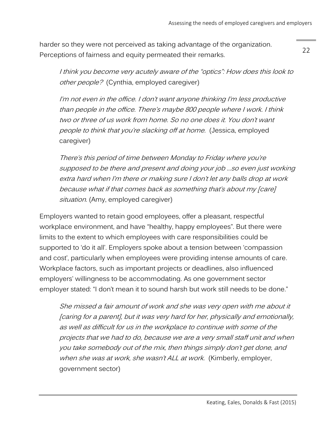22

harder so they were not perceived as taking advantage of the organization. Perceptions of fairness and equity permeated their remarks.

I think you become very acutely aware of the "optics": How does this look to other people? (Cynthia, employed caregiver)

I'm not even in the office. I don't want anyone thinking I'm less productive than people in the office. There's maybe 800 people where I work. I think two or three of us work from home. So no one does it. You don't want people to think that you're slacking off at home. (Jessica, employed caregiver)

There's this period of time between Monday to Friday where you're supposed to be there and present and doing your job …so even just working extra hard when I'm there or making sure I don't let any balls drop at work because what if that comes back as something that's about my [care] situation. (Amy, employed caregiver)

Employers wanted to retain good employees, offer a pleasant, respectful workplace environment, and have "healthy, happy employees". But there were limits to the extent to which employees with care responsibilities could be supported to 'do it all'. Employers spoke about a tension between 'compassion and cost', particularly when employees were providing intense amounts of care. Workplace factors, such as important projects or deadlines, also influenced employers' willingness to be accommodating. As one government sector employer stated: "I don't mean it to sound harsh but work still needs to be done."

She missed a fair amount of work and she was very open with me about it [caring for a parent], but it was very hard for her, physically and emotionally, as well as difficult for us in the workplace to continue with some of the projects that we had to do, because we are a very small staff unit and when you take somebody out of the mix, then things simply don't get done, and when she was at work, she wasn't ALL at work. (Kimberly, employer, government sector)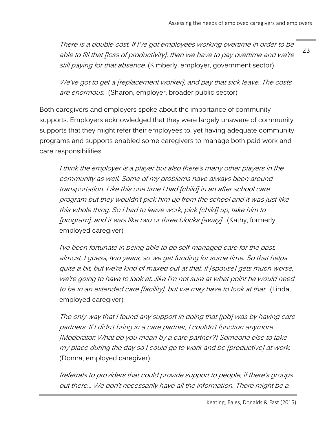23 There is a double cost. If I've got employees working overtime in order to be able to fill that [loss of productivity], then we have to pay overtime and we're still paying for that absence. (Kimberly, employer, government sector)

We've got to get a [replacement worker], and pay that sick leave. The costs are enormous. (Sharon, employer, broader public sector)

Both caregivers and employers spoke about the importance of community supports. Employers acknowledged that they were largely unaware of community supports that they might refer their employees to, yet having adequate community programs and supports enabled some caregivers to manage both paid work and care responsibilities.

I think the employer is a player but also there's many other players in the community as well. Some of my problems have always been around transportation. Like this one time I had [child] in an after school care program but they wouldn't pick him up from the school and it was just like this whole thing. So I had to leave work, pick [child] up, take him to [program], and it was like two or three blocks [away]. (Kathy, formerly employed caregiver)

I've been fortunate in being able to do self-managed care for the past, almost, I guess, two years, so we get funding for some time. So that helps quite a bit, but we're kind of maxed out at that. If [spouse] gets much worse, we're going to have to look at…like I'm not sure at what point he would need to be in an extended care [facility], but we may have to look at that. (Linda, employed caregiver)

The only way that I found any support in doing that [job] was by having care partners. If I didn't bring in a care partner, I couldn't function anymore. [Moderator: What do you mean by a care partner?] Someone else to take my place during the day so I could go to work and be [productive] at work. (Donna, employed caregiver)

Referrals to providers that could provide support to people, if there's groups out there… We don't necessarily have all the information. There might be a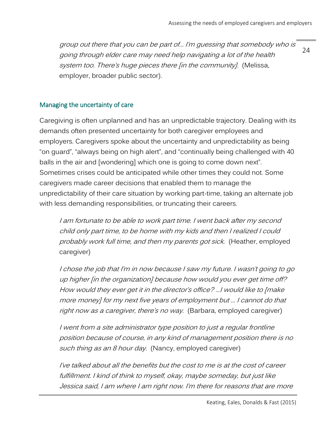24 group out there that you can be part of… I'm guessing that somebody who is going through elder care may need help navigating a lot of the health system too. There's huge pieces there [in the community]. (Melissa, employer, broader public sector).

### <span id="page-23-0"></span>Managing the uncertainty of care

Caregiving is often unplanned and has an unpredictable trajectory. Dealing with its demands often presented uncertainty for both caregiver employees and employers. Caregivers spoke about the uncertainty and unpredictability as being "on guard", "always being on high alert", and "continually being challenged with 40 balls in the air and [wondering] which one is going to come down next". Sometimes crises could be anticipated while other times they could not. Some caregivers made career decisions that enabled them to manage the unpredictability of their care situation by working part-time, taking an alternate job with less demanding responsibilities, or truncating their careers.

I am fortunate to be able to work part time. I went back after my second child only part time, to be home with my kids and then I realized I could probably work full time, and then my parents got sick. (Heather, employed caregiver)

I chose the job that I'm in now because I saw my future. I wasn't going to go up higher [in the organization] because how would you ever get time off? How would they ever get it in the director's office? …I would like to [make more money] for my next five years of employment but … I cannot do that right now as a caregiver, there's no way. (Barbara, employed caregiver)

I went from a site administrator type position to just a regular frontline position because of course, in any kind of management position there is no such thing as an 8 hour day. (Nancy, employed caregiver)

I've talked about all the benefits but the cost to me is at the cost of career fulfillment. I kind of think to myself, okay, maybe someday, but just like Jessica said, I am where I am right now. I'm there for reasons that are more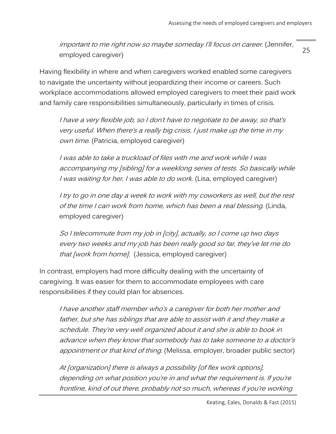important to me right now so maybe someday I'll focus on career. (Jennifer, employed caregiver)

Having flexibility in where and when caregivers worked enabled some caregivers to navigate the uncertainty without jeopardizing their income or careers. Such workplace accommodations allowed employed caregivers to meet their paid work and family care responsibilities simultaneously, particularly in times of crisis.

I have a very flexible job, so I don't have to negotiate to be away, so that's very useful. When there's a really big crisis, I just make up the time in my own time. (Patricia, employed caregiver)

I was able to take a truckload of files with me and work while I was accompanying my [sibling] for a weeklong series of tests. So basically while I was waiting for her, I was able to do work. (Lisa, employed caregiver)

I try to go in one day a week to work with my coworkers as well, but the rest of the time I can work from home, which has been a real blessing. (Linda, employed caregiver)

So I telecommute from my job in [city], actually, so I come up two days every two weeks and my job has been really good so far, they've let me do that [work from home]. (Jessica, employed caregiver)

In contrast, employers had more difficulty dealing with the uncertainty of caregiving. It was easier for them to accommodate employees with care responsibilities if they could plan for absences.

I have another staff member who's a caregiver for both her mother and father, but she has siblings that are able to assist with it and they make a schedule. They're very well organized about it and she is able to book in advance when they know that somebody has to take someone to a doctor's appointment or that kind of thing. (Melissa, employer, broader public sector)

At [organization] there is always a possibility [of flex work options], depending on what position you're in and what the requirement is. If you're frontline, kind of out there, probably not so much, whereas if you're working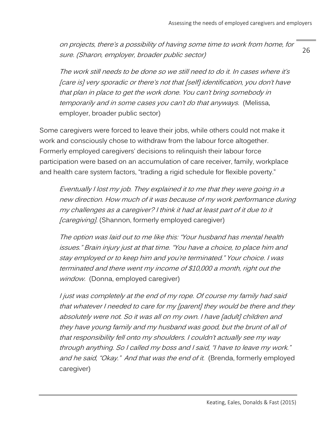on projects, there's a possibility of having some time to work from home, for sure. (Sharon, employer, broader public sector)

The work still needs to be done so we still need to do it. In cases where it's [care is] very sporadic or there's not that [self] identification, you don't have that plan in place to get the work done. You can't bring somebody in temporarily and in some cases you can't do that anyways. (Melissa, employer, broader public sector)

Some caregivers were forced to leave their jobs, while others could not make it work and consciously chose to withdraw from the labour force altogether. Formerly employed caregivers' decisions to relinquish their labour force participation were based on an accumulation of care receiver, family, workplace and health care system factors, "trading a rigid schedule for flexible poverty."

Eventually I lost my job. They explained it to me that they were going in a new direction. How much of it was because of my work performance during my challenges as a caregiver? I think it had at least part of it due to it *[caregiving]*. (Shannon, formerly employed caregiver)

The option was laid out to me like this: "Your husband has mental health issues." Brain injury just at that time. "You have a choice, to place him and stay employed or to keep him and you're terminated." Your choice. I was terminated and there went my income of \$10,000 a month, right out the window. (Donna, employed caregiver)

I just was completely at the end of my rope. Of course my family had said that whatever I needed to care for my [parent] they would be there and they absolutely were not. So it was all on my own. I have [adult] children and they have young family and my husband was good, but the brunt of all of that responsibility fell onto my shoulders. I couldn't actually see my way through anything. So I called my boss and I said, "I have to leave my work." and he said, "Okay." And that was the end of it. (Brenda, formerly employed caregiver)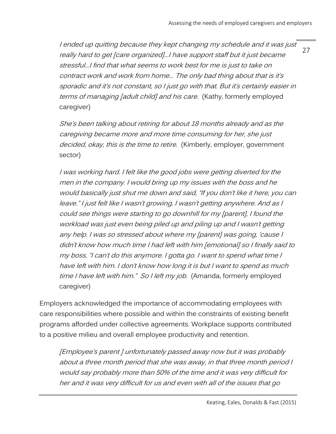I ended up quitting because they kept changing my schedule and it was just really hard to get [care organized]…I have support staff but it just became stressful…I find that what seems to work best for me is just to take on contract work and work from home… The only bad thing about that is it's sporadic and it's not constant, so I just go with that. But it's certainly easier in terms of managing [adult child] and his care. (Kathy, formerly employed caregiver)

She's been talking about retiring for about 18 months already and as the caregiving became more and more time consuming for her, she just decided, okay, this is the time to retire. (Kimberly, employer, government sector)

I was working hard. I felt like the good jobs were getting diverted for the men in the company. I would bring up my issues with the boss and he would basically just shut me down and said, "If you don't like it here, you can leave." I just felt like I wasn't growing, I wasn't getting anywhere. And as I could see things were starting to go downhill for my [parent], I found the workload was just even being piled up and piling up and I wasn't getting any help. I was so stressed about where my [parent] was going, 'cause I didn't know how much time I had left with him [emotional] so I finally said to my boss, "I can't do this anymore. I gotta go. I want to spend what time I have left with him. I don't know how long it is but I want to spend as much time I have left with him." So I left my job. (Amanda, formerly employed caregiver)

Employers acknowledged the importance of accommodating employees with care responsibilities where possible and within the constraints of existing benefit programs afforded under collective agreements. Workplace supports contributed to a positive milieu and overall employee productivity and retention.

[Employee's parent ] unfortunately passed away now but it was probably about a three month period that she was away, in that three month period I would say probably more than 50% of the time and it was very difficult for her and it was very difficult for us and even with all of the issues that go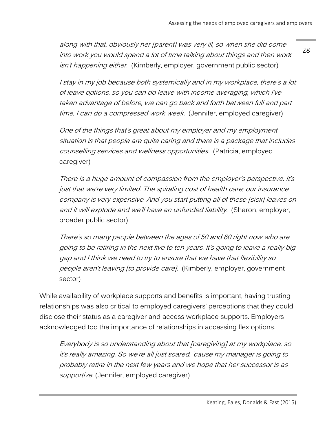along with that, obviously her [parent] was very ill, so when she did come into work you would spend a lot of time talking about things and then work isn't happening either. (Kimberly, employer, government public sector)

28

I stay in my job because both systemically and in my workplace, there's a lot of leave options, so you can do leave with income averaging, which I've taken advantage of before, we can go back and forth between full and part time, I can do a compressed work week. (Jennifer, employed caregiver)

One of the things that's great about my employer and my employment situation is that people are quite caring and there is a package that includes counselling services and wellness opportunities. (Patricia, employed caregiver)

There is a huge amount of compassion from the employer's perspective. It's just that we're very limited. The spiraling cost of health care; our insurance company is very expensive. And you start putting all of these [sick] leaves on and it will explode and we'll have an unfunded liability. (Sharon, employer, broader public sector)

There's so many people between the ages of 50 and 60 right now who are going to be retiring in the next five to ten years. It's going to leave a really big gap and I think we need to try to ensure that we have that flexibility so people aren't leaving [to provide care]. (Kimberly, employer, government sector)

While availability of workplace supports and benefits is important, having trusting relationships was also critical to employed caregivers' perceptions that they could disclose their status as a caregiver and access workplace supports. Employers acknowledged too the importance of relationships in accessing flex options.

Everybody is so understanding about that [caregiving] at my workplace, so it's really amazing. So we're all just scared, 'cause my manager is going to probably retire in the next few years and we hope that her successor is as supportive. (Jennifer, employed caregiver)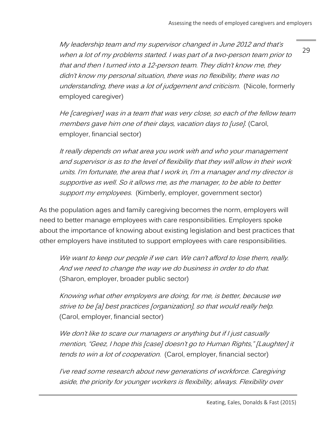My leadership team and my supervisor changed in June 2012 and that's when a lot of my problems started. I was part of a two-person team prior to that and then I turned into a 12-person team. They didn't know me, they didn't know my personal situation, there was no flexibility, there was no understanding, there was a lot of judgement and criticism. (Nicole, formerly employed caregiver)

He [caregiver] was in a team that was very close, so each of the fellow team members gave him one of their days, vacation days to [use]. (Carol, employer, financial sector)

It really depends on what area you work with and who your management and supervisor is as to the level of flexibility that they will allow in their work units. I'm fortunate, the area that I work in, I'm a manager and my director is supportive as well. So it allows me, as the manager, to be able to better support my employees. (Kimberly, employer, government sector)

As the population ages and family caregiving becomes the norm, employers will need to better manage employees with care responsibilities. Employers spoke about the importance of knowing about existing legislation and best practices that other employers have instituted to support employees with care responsibilities.

We want to keep our people if we can. We can't afford to lose them, really. And we need to change the way we do business in order to do that. (Sharon, employer, broader public sector)

Knowing what other employers are doing, for me, is better, because we strive to be [a] best practices [organization], so that would really help. (Carol, employer, financial sector)

We don't like to scare our managers or anything but if I just casually mention, "Geez, I hope this [case] doesn't go to Human Rights," [Laughter] it tends to win a lot of cooperation. (Carol, employer, financial sector)

I've read some research about new generations of workforce. Caregiving aside, the priority for younger workers is flexibility, always. Flexibility over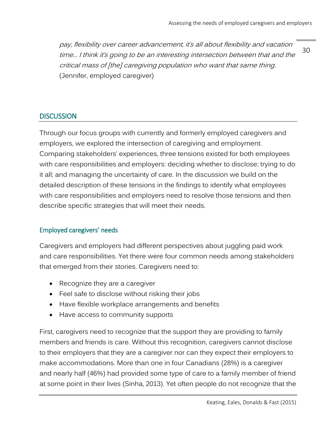30 pay, flexibility over career advancement, it's all about flexibility and vacation time… I think it's going to be an interesting intersection between that and the critical mass of [the] caregiving population who want that same thing. (Jennifer, employed caregiver)

## <span id="page-29-0"></span>**DISCUSSION**

Through our focus groups with currently and formerly employed caregivers and employers, we explored the intersection of caregiving and employment. Comparing stakeholders' experiences, three tensions existed for both employees with care responsibilities and employers: deciding whether to disclose; trying to do it all; and managing the uncertainty of care. In the discussion we build on the detailed description of these tensions in the findings to identify what employees with care responsibilities and employers need to resolve those tensions and then describe specific strategies that will meet their needs.

### <span id="page-29-1"></span>Employed caregivers' needs

Caregivers and employers had different perspectives about juggling paid work and care responsibilities. Yet there were four common needs among stakeholders that emerged from their stories. Caregivers need to:

- Recognize they are a caregiver
- Feel safe to disclose without risking their jobs
- Have flexible workplace arrangements and benefits
- Have access to community supports

First, caregivers need to recognize that the support they are providing to family members and friends is care. Without this recognition, caregivers cannot disclose to their employers that they are a caregiver nor can they expect their employers to make accommodations. More than one in four Canadians (28%) is a caregiver and nearly half (46%) had provided some type of care to a family member of friend at some point in their lives (Sinha, 2013). Yet often people do not recognize that the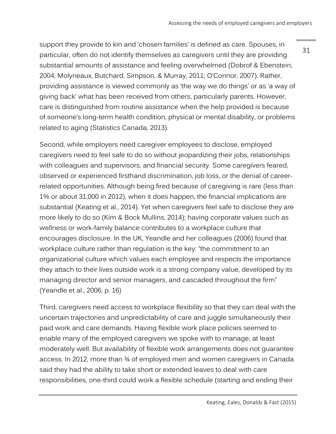support they provide to kin and 'chosen families' is defined as care. Spouses, in particular, often do not identify themselves as caregivers until they are providing substantial amounts of assistance and feeling overwhelmed (Dobrof & Ebenstein, 2004; Molyneaux, Butchard, Simpson, & Murray, 2011; O'Connor, 2007). Rather, providing assistance is viewed commonly as 'the way we do things' or as 'a way of giving back' what has been received from others, particularly parents. However, care is distinguished from routine assistance when the help provided is because of someone's long-term health condition, physical or mental disability, or problems related to aging (Statistics Canada, 2013).

Second, while employers need caregiver employees to disclose, employed caregivers need to feel safe to do so without jeopardizing their jobs, relationships with colleagues and supervisors, and financial security. Some caregivers feared, observed or experienced firsthand discrimination, job loss, or the denial of careerrelated opportunities. Although being fired because of caregiving is rare (less than 1% or about 31,000 in 2012), when it does happen, the financial implications are substantial (Keating et al., 2014). Yet when caregivers feel safe to disclose they are more likely to do so (Kim & Bock Mullins, 2014); having corporate values such as wellness or work-family balance contributes to a workplace culture that encourages disclosure. In the UK, Yeandle and her colleagues (2006) found that workplace culture rather than regulation is the key: "the commitment to an organizational culture which values each employee and respects the importance they attach to their lives outside work is a strong company value, developed by its managing director and senior managers, and cascaded throughout the firm" (Yeandle et al., 2006, p. 16)

Third, caregivers need access to workplace flexibility so that they can deal with the uncertain trajectories and unpredictability of care and juggle simultaneously their paid work and care demands. Having flexible work place policies seemed to enable many of the employed caregivers we spoke with to manage, at least moderately well. But availability of flexible work arrangements does not guarantee access. In 2012, more than ¾ of employed men and women caregivers in Canada said they had the ability to take short or extended leaves to deal with care responsibilities, one-third could work a flexible schedule (starting and ending their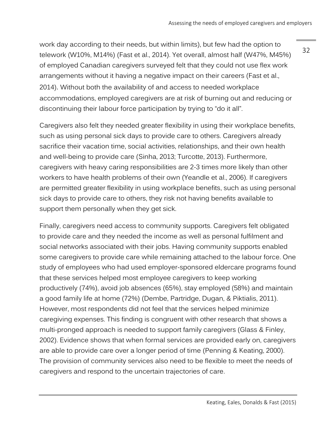work day according to their needs, but within limits), but few had the option to telework (W10%, M14%) (Fast et al., 2014). Yet overall, almost half (W47%, M45%) of employed Canadian caregivers surveyed felt that they could not use flex work arrangements without it having a negative impact on their careers (Fast et al., 2014). Without both the availability of and access to needed workplace accommodations, employed caregivers are at risk of burning out and reducing or discontinuing their labour force participation by trying to "do it all".

Caregivers also felt they needed greater flexibility in using their workplace benefits, such as using personal sick days to provide care to others. Caregivers already sacrifice their vacation time, social activities, relationships, and their own health and well-being to provide care (Sinha, 2013; Turcotte, 2013). Furthermore, caregivers with heavy caring responsibilities are 2-3 times more likely than other workers to have health problems of their own (Yeandle et al., 2006). If caregivers are permitted greater flexibility in using workplace benefits, such as using personal sick days to provide care to others, they risk not having benefits available to support them personally when they get sick.

Finally, caregivers need access to community supports. Caregivers felt obligated to provide care and they needed the income as well as personal fulfilment and social networks associated with their jobs. Having community supports enabled some caregivers to provide care while remaining attached to the labour force. One study of employees who had used employer-sponsored eldercare programs found that these services helped most employee caregivers to keep working productively (74%), avoid job absences (65%), stay employed (58%) and maintain a good family life at home (72%) (Dembe, Partridge, Dugan, & Piktialis, 2011). However, most respondents did not feel that the services helped minimize caregiving expenses. This finding is congruent with other research that shows a multi-pronged approach is needed to support family caregivers (Glass & Finley, 2002). Evidence shows that when formal services are provided early on, caregivers are able to provide care over a longer period of time (Penning & Keating, 2000). The provision of community services also need to be flexible to meet the needs of caregivers and respond to the uncertain trajectories of care.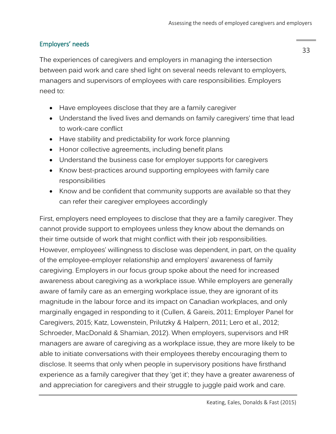## <span id="page-32-0"></span>Employers' needs

The experiences of caregivers and employers in managing the intersection between paid work and care shed light on several needs relevant to employers, managers and supervisors of employees with care responsibilities. Employers need to:

- Have employees disclose that they are a family caregiver
- Understand the lived lives and demands on family caregivers' time that lead to work-care conflict
- Have stability and predictability for work force planning
- Honor collective agreements, including benefit plans
- Understand the business case for employer supports for caregivers
- Know best-practices around supporting employees with family care responsibilities
- Know and be confident that community supports are available so that they can refer their caregiver employees accordingly

First, employers need employees to disclose that they are a family caregiver. They cannot provide support to employees unless they know about the demands on their time outside of work that might conflict with their job responsibilities. However, employees' willingness to disclose was dependent, in part, on the quality of the employee-employer relationship and employers' awareness of family caregiving. Employers in our focus group spoke about the need for increased awareness about caregiving as a workplace issue. While employers are generally aware of family care as an emerging workplace issue, they are ignorant of its magnitude in the labour force and its impact on Canadian workplaces, and only marginally engaged in responding to it (Cullen, & Gareis, 2011; Employer Panel for Caregivers, 2015; Katz, Lowenstein, Prilutzky & Halpern, 2011; Lero et al., 2012; Schroeder, MacDonald & Shamian, 2012). When employers, supervisors and HR managers are aware of caregiving as a workplace issue, they are more likely to be able to initiate conversations with their employees thereby encouraging them to disclose. It seems that only when people in supervisory positions have firsthand experience as a family caregiver that they 'get it'; they have a greater awareness of and appreciation for caregivers and their struggle to juggle paid work and care.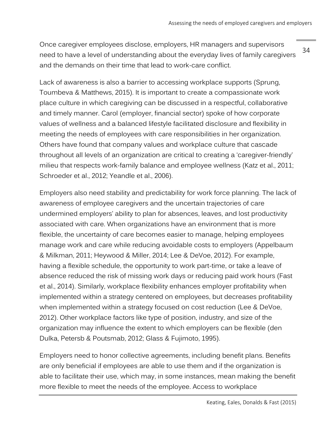34 Once caregiver employees disclose, employers, HR managers and supervisors need to have a level of understanding about the everyday lives of family caregivers and the demands on their time that lead to work-care conflict.

Lack of awareness is also a barrier to accessing workplace supports (Sprung, Toumbeva & Matthews, 2015). It is important to create a compassionate work place culture in which caregiving can be discussed in a respectful, collaborative and timely manner. Carol (employer, financial sector) spoke of how corporate values of wellness and a balanced lifestyle facilitated disclosure and flexibility in meeting the needs of employees with care responsibilities in her organization. Others have found that company values and workplace culture that cascade throughout all levels of an organization are critical to creating a 'caregiver-friendly' milieu that respects work-family balance and employee wellness (Katz et al., 2011; Schroeder et al., 2012; Yeandle et al., 2006).

Employers also need stability and predictability for work force planning. The lack of awareness of employee caregivers and the uncertain trajectories of care undermined employers' ability to plan for absences, leaves, and lost productivity associated with care. When organizations have an environment that is more flexible, the uncertainty of care becomes easier to manage, helping employees manage work and care while reducing avoidable costs to employers (Appelbaum & Milkman, 2011; Heywood & Miller, 2014; Lee & DeVoe, 2012). For example, having a flexible schedule, the opportunity to work part-time, or take a leave of absence reduced the risk of missing work days or reducing paid work hours (Fast et al., 2014). Similarly, workplace flexibility enhances employer profitability when implemented within a strategy centered on employees, but decreases profitability when implemented within a strategy focused on cost reduction (Lee & DeVoe, 2012). Other workplace factors like type of position, industry, and size of the organization may influence the extent to which employers can be flexible (den Dulka, Petersb & Poutsmab, 2012; Glass & Fujimoto, 1995).

Employers need to honor collective agreements, including benefit plans. Benefits are only beneficial if employees are able to use them and if the organization is able to facilitate their use, which may, in some instances, mean making the benefit more flexible to meet the needs of the employee. Access to workplace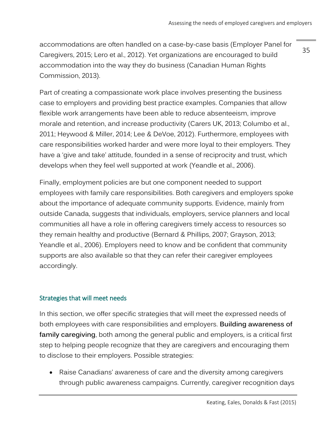accommodations are often handled on a case-by-case basis (Employer Panel for Caregivers, 2015; Lero et al., 2012). Yet organizations are encouraged to build accommodation into the way they do business (Canadian Human Rights Commission, 2013).

35

Part of creating a compassionate work place involves presenting the business case to employers and providing best practice examples. Companies that allow flexible work arrangements have been able to reduce absenteeism, improve morale and retention, and increase productivity (Carers UK, 2013; Columbo et al., 2011; Heywood & Miller, 2014; Lee & DeVoe, 2012). Furthermore, employees with care responsibilities worked harder and were more loyal to their employers. They have a 'give and take' attitude, founded in a sense of reciprocity and trust, which develops when they feel well supported at work (Yeandle et al., 2006).

Finally, employment policies are but one component needed to support employees with family care responsibilities. Both caregivers and employers spoke about the importance of adequate community supports. Evidence, mainly from outside Canada, suggests that individuals, employers, service planners and local communities all have a role in offering caregivers timely access to resources so they remain healthy and productive (Bernard & Phillips, 2007; Grayson, 2013; Yeandle et al., 2006). Employers need to know and be confident that community supports are also available so that they can refer their caregiver employees accordingly.

## <span id="page-34-0"></span>Strategies that will meet needs

In this section, we offer specific strategies that will meet the expressed needs of both employees with care responsibilities and employers. **Building awareness of family caregiving**, both among the general public and employers, is a critical first step to helping people recognize that they are caregivers and encouraging them to disclose to their employers. Possible strategies:

 Raise Canadians' awareness of care and the diversity among caregivers through public awareness campaigns. Currently, caregiver recognition days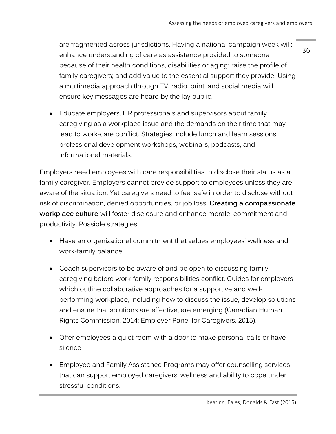are fragmented across jurisdictions. Having a national campaign week will: enhance understanding of care as assistance provided to someone because of their health conditions, disabilities or aging; raise the profile of family caregivers; and add value to the essential support they provide. Using a multimedia approach through TV, radio, print, and social media will ensure key messages are heard by the lay public.

 Educate employers, HR professionals and supervisors about family caregiving as a workplace issue and the demands on their time that may lead to work-care conflict. Strategies include lunch and learn sessions, professional development workshops, webinars, podcasts, and informational materials.

Employers need employees with care responsibilities to disclose their status as a family caregiver. Employers cannot provide support to employees unless they are aware of the situation. Yet caregivers need to feel safe in order to disclose without risk of discrimination, denied opportunities, or job loss. **Creating a compassionate workplace culture** will foster disclosure and enhance morale, commitment and productivity. Possible strategies:

- Have an organizational commitment that values employees' wellness and work-family balance.
- Coach supervisors to be aware of and be open to discussing family caregiving before work-family responsibilities conflict. Guides for employers which outline collaborative approaches for a supportive and wellperforming workplace, including how to discuss the issue, develop solutions and ensure that solutions are effective, are emerging (Canadian Human Rights Commission, 2014; Employer Panel for Caregivers, 2015).
- Offer employees a quiet room with a door to make personal calls or have silence.
- Employee and Family Assistance Programs may offer counselling services that can support employed caregivers' wellness and ability to cope under stressful conditions.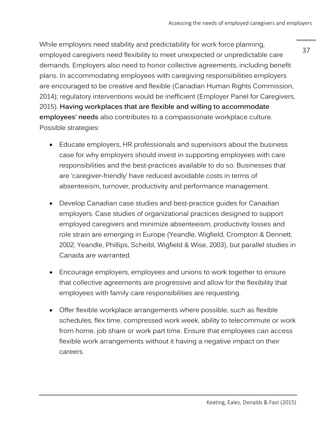While employers need stability and predictability for work force planning, employed caregivers need flexibility to meet unexpected or unpredictable care demands. Employers also need to honor collective agreements, including benefit plans. In accommodating employees with caregiving responsibilities employers are encouraged to be creative and flexible (Canadian Human Rights Commission, 2014); regulatory interventions would be inefficient (Employer Panel for Caregivers, 2015). **Having workplaces that are flexible and willing to accommodate employees' needs** also contributes to a compassionate workplace culture. Possible strategies:

- Educate employers, HR professionals and supervisors about the business case for why employers should invest in supporting employees with care responsibilities and the best-practices available to do so. Businesses that are 'caregiver-friendly' have reduced avoidable costs in terms of absenteeism, turnover, productivity and performance management.
- Develop Canadian case studies and best-practice guides for Canadian employers. Case studies of organizational practices designed to support employed caregivers and minimize absenteeism, productivity losses and role strain are emerging in Europe (Yeandle, Wigfield, Crompton & Dennett, 2002; Yeandle, Phillips, Scheibl, Wigfield & Wise, 2003), but parallel studies in Canada are warranted.
- Encourage employers, employees and unions to work together to ensure that collective agreements are progressive and allow for the flexibility that employees with family care responsibilities are requesting.
- Offer flexible workplace arrangements where possible, such as flexible schedules, flex time, compressed work week, ability to telecommute or work from home, job share or work part time. Ensure that employees can access flexible work arrangements without it having a negative impact on their careers.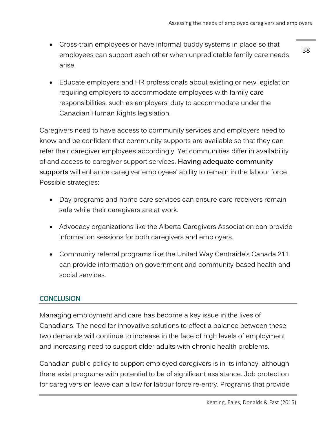Cross-train employees or have informal buddy systems in place so that employees can support each other when unpredictable family care needs arise.

38

 Educate employers and HR professionals about existing or new legislation requiring employers to accommodate employees with family care responsibilities, such as employers' duty to accommodate under the Canadian Human Rights legislation.

Caregivers need to have access to community services and employers need to know and be confident that community supports are available so that they can refer their caregiver employees accordingly. Yet communities differ in availability of and access to caregiver support services. **Having adequate community supports** will enhance caregiver employees' ability to remain in the labour force. Possible strategies:

- Day programs and home care services can ensure care receivers remain safe while their caregivers are at work.
- Advocacy organizations like the Alberta Caregivers Association can provide information sessions for both caregivers and employers.
- Community referral programs like the United Way Centraide's Canada 211 can provide information on government and community-based health and social services.

# <span id="page-37-0"></span>**CONCLUSION**

Managing employment and care has become a key issue in the lives of Canadians. The need for innovative solutions to effect a balance between these two demands will continue to increase in the face of high levels of employment and increasing need to support older adults with chronic health problems.

Canadian public policy to support employed caregivers is in its infancy, although there exist programs with potential to be of significant assistance. Job protection for caregivers on leave can allow for labour force re-entry. Programs that provide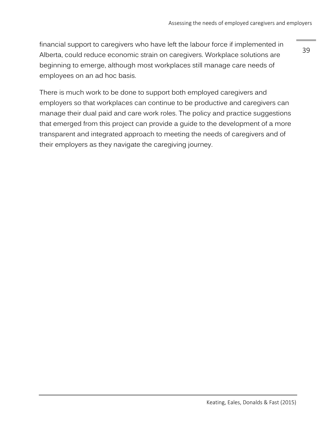financial support to caregivers who have left the labour force if implemented in Alberta, could reduce economic strain on caregivers. Workplace solutions are beginning to emerge, although most workplaces still manage care needs of employees on an ad hoc basis.

39

There is much work to be done to support both employed caregivers and employers so that workplaces can continue to be productive and caregivers can manage their dual paid and care work roles. The policy and practice suggestions that emerged from this project can provide a guide to the development of a more transparent and integrated approach to meeting the needs of caregivers and of their employers as they navigate the caregiving journey.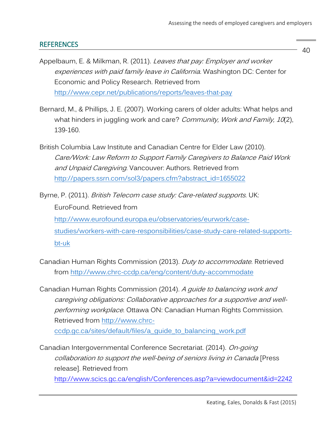## <span id="page-39-0"></span>**REFERENCES**

- Appelbaum, E. & Milkman, R. (2011). Leaves that pay: Employer and worker experiences with paid family leave in California. Washington DC: Center for Economic and Policy Research. Retrieved from <http://www.cepr.net/publications/reports/leaves-that-pay>
- Bernard, M., & Phillips, J. E. (2007). Working carers of older adults: What helps and what hinders in juggling work and care? Community, Work and Family, 10(2), 139-160.
- British Columbia Law Institute and Canadian Centre for Elder Law (2010). Care/Work: Law Reform to Support Family Caregivers to Balance Paid Work and Unpaid Caregiving. Vancouver: Authors. Retrieved from [http://papers.ssrn.com/sol3/papers.cfm?abstract\\_id=1655022](http://papers.ssrn.com/sol3/papers.cfm?abstract_id=1655022)
- Byrne, P. (2011). British Telecom case study: Care-related supports. UK: EuroFound. Retrieved from [http://www.eurofound.europa.eu/observatories/eurwork/case](http://www.eurofound.europa.eu/observatories/eurwork/case-studies/workers-with-care-responsibilities/case-study-care-related-supports-bt-uk)[studies/workers-with-care-responsibilities/case-study-care-related-supports](http://www.eurofound.europa.eu/observatories/eurwork/case-studies/workers-with-care-responsibilities/case-study-care-related-supports-bt-uk)[bt-uk](http://www.eurofound.europa.eu/observatories/eurwork/case-studies/workers-with-care-responsibilities/case-study-care-related-supports-bt-uk)
- Canadian Human Rights Commission (2013). Duty to accommodate. Retrieved from<http://www.chrc-ccdp.ca/eng/content/duty-accommodate>
- Canadian Human Rights Commission (2014). A guide to balancing work and caregiving obligations: Collaborative approaches for a supportive and wellperforming workplace. Ottawa ON: Canadian Human Rights Commission. Retrieved from [http://www.chrc](http://www.chrc-ccdp.gc.ca/sites/default/files/a_guide_to_balancing_work.pdf)[ccdp.gc.ca/sites/default/files/a\\_guide\\_to\\_balancing\\_work.pdf](http://www.chrc-ccdp.gc.ca/sites/default/files/a_guide_to_balancing_work.pdf)
- Canadian Intergovernmental Conference Secretariat. (2014). On-going collaboration to support the well-being of seniors living in Canada [Press release]. Retrieved from

<http://www.scics.gc.ca/english/Conferences.asp?a=viewdocument&id=2242>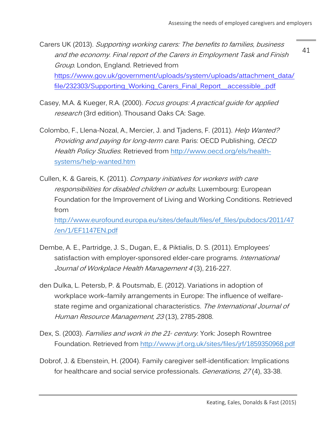41 Carers UK (2013). Supporting working carers: The benefits to families, business and the economy. Final report of the Carers in Employment Task and Finish Group. London, England. Retrieved from [https://www.gov.uk/government/uploads/system/uploads/attachment\\_data/](https://www.gov.uk/government/uploads/system/uploads/attachment_data/file/232303/Supporting_Working_Carers_Final_Report__accessible_.pdf) [file/232303/Supporting\\_Working\\_Carers\\_Final\\_Report\\_\\_accessible\\_.pdf](https://www.gov.uk/government/uploads/system/uploads/attachment_data/file/232303/Supporting_Working_Carers_Final_Report__accessible_.pdf)

- Casey, M.A. & Kueger, R.A. (2000). Focus groups: A practical guide for applied research (3rd edition). Thousand Oaks CA: Sage.
- Colombo, F., Llena-Nozal, A., Mercier, J. and Tjadens, F. (2011). *Help Wanted?* Providing and paying for long-term care. Paris: OECD Publishing, OECD Health Policy Studies. Retrieved from [http://www.oecd.org/els/health](http://www.oecd.org/els/health-systems/help-wanted.htm)[systems/help-wanted.htm](http://www.oecd.org/els/health-systems/help-wanted.htm)
- Cullen, K. & Gareis, K. (2011). Company initiatives for workers with care responsibilities for disabled children or adults. Luxembourg: European Foundation for the Improvement of Living and Working Conditions. Retrieved from [http://www.eurofound.europa.eu/sites/default/files/ef\\_files/pubdocs/2011/47](http://www.eurofound.europa.eu/sites/default/files/ef_files/pubdocs/2011/47/en/1/EF1147EN.pdf) [/en/1/EF1147EN.pdf](http://www.eurofound.europa.eu/sites/default/files/ef_files/pubdocs/2011/47/en/1/EF1147EN.pdf)
- Dembe, A. E., Partridge, J. S., Dugan, E., & Piktialis, D. S. (2011). Employees' satisfaction with employer-sponsored elder-care programs. International Journal of Workplace Health Management 4(3), 216-227.
- den Dulka, L. Petersb, P. & Poutsmab, E. (2012). Variations in adoption of workplace work–family arrangements in Europe: The influence of welfarestate regime and organizational characteristics. The International Journal of Human Resource Management, 23 (13), 2785-2808.
- Dex, S. (2003). Families and work in the 21<sup>*s*</sup> century. York: Joseph Rowntree Foundation. Retrieved from<http://www.jrf.org.uk/sites/files/jrf/1859350968.pdf>
- Dobrof, J. & Ebenstein, H. (2004). Family caregiver self-identification: Implications for healthcare and social service professionals. *Generations*, 27(4), 33-38.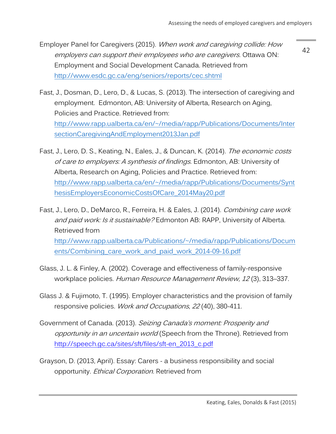Employer Panel for Caregivers (2015). When work and caregiving collide: How employers can support their employees who are caregivers. Ottawa ON: Employment and Social Development Canada. Retrieved from <http://www.esdc.gc.ca/eng/seniors/reports/cec.shtml>

- Fast, J., Dosman, D., Lero, D., & Lucas, S. (2013). The intersection of caregiving and employment. Edmonton, AB: University of Alberta, Research on Aging, Policies and Practice. Retrieved from: [http://www.rapp.ualberta.ca/en/~/media/rapp/Publications/Documents/Inter](http://www.rapp.ualberta.ca/en/~/media/rapp/Publications/Documents/IntersectionCaregivingAndEmployment2013Jan.pdf) [sectionCaregivingAndEmployment2013Jan.pdf](http://www.rapp.ualberta.ca/en/~/media/rapp/Publications/Documents/IntersectionCaregivingAndEmployment2013Jan.pdf)
- Fast, J., Lero, D. S., Keating, N., Eales, J., & Duncan, K. (2014). The economic costs of care to employers: A synthesis of findings. Edmonton, AB: University of Alberta, Research on Aging, Policies and Practice. Retrieved from: [http://www.rapp.ualberta.ca/en/~/media/rapp/Publications/Documents/Synt](http://www.rapp.ualberta.ca/en/~/media/rapp/Publications/Documents/SynthesisEmployersEconomicCostsOfCare_2014May20.pdf) [hesisEmployersEconomicCostsOfCare\\_2014May20.pdf](http://www.rapp.ualberta.ca/en/~/media/rapp/Publications/Documents/SynthesisEmployersEconomicCostsOfCare_2014May20.pdf)
- Fast, J., Lero, D., DeMarco, R., Ferreira, H. & Eales, J. (2014). Combining care work and paid work: Is it sustainable? Edmonton AB: RAPP, University of Alberta. Retrieved from [http://www.rapp.ualberta.ca/Publications/~/media/rapp/Publications/Docum](http://www.rapp.ualberta.ca/Publications/~/media/rapp/Publications/Documents/Combining_care_work_and_paid_work_2014-09-16.pdf) [ents/Combining\\_care\\_work\\_and\\_paid\\_work\\_2014-09-16.pdf](http://www.rapp.ualberta.ca/Publications/~/media/rapp/Publications/Documents/Combining_care_work_and_paid_work_2014-09-16.pdf)
- Glass, J. L. & Finley, A. (2002). Coverage and effectiveness of family-responsive workplace policies. Human Resource Management Review, 12 (3), 313–337.
- Glass J. & Fujimoto, T. (1995). Employer characteristics and the provision of family responsive policies. Work and Occupations, 22(40), 380-411.
- Government of Canada. (2013). Seizing Canada's moment: Prosperity and opportunity in an uncertain world (Speech from the Throne). Retrieved from [http://speech.gc.ca/sites/sft/files/sft-en\\_2013\\_c.pdf](http://speech.gc.ca/sites/sft/files/sft-en_2013_c.pdf)
- Grayson, D. (2013, April). Essay: Carers a business responsibility and social opportunity. *Ethical Corporation*. Retrieved from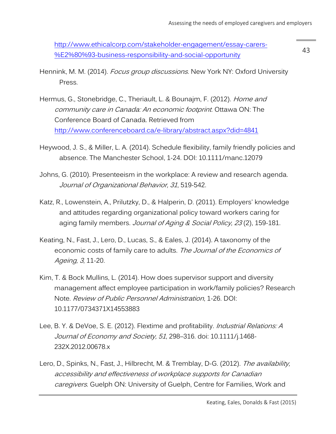[http://www.ethicalcorp.com/stakeholder-engagement/essay-carers-](http://www.ethicalcorp.com/stakeholder-engagement/essay-carers-%E2%80%93-business-responsibility-and-social-opportunity) [%E2%80%93-business-responsibility-and-social-opportunity](http://www.ethicalcorp.com/stakeholder-engagement/essay-carers-%E2%80%93-business-responsibility-and-social-opportunity)

- Hennink, M. M. (2014). Focus group discussions. New York NY: Oxford University Press.
- Hermus, G., Stonebridge, C., Theriault, L. & Bounajm, F. (2012). Home and community care in Canada: An economic footprint. Ottawa ON: The Conference Board of Canada. Retrieved from <http://www.conferenceboard.ca/e-library/abstract.aspx?did=4841>
- Heywood, J. S., & Miller, L. A. (2014). Schedule flexibility, family friendly policies and absence. The Manchester School, 1-24. DOI: 10.1111/manc.12079
- Johns, G. (2010). Presenteeism in the workplace: A review and research agenda. Journal of Organizational Behavior, 31, 519-542.
- Katz, R., Lowenstein, A., Prilutzky, D., & Halperin, D. (2011). Employers' knowledge and attitudes regarding organizational policy toward workers caring for aging family members. Journal of Aging & Social Policy, 23(2), 159-181.
- Keating, N., Fast, J., Lero, D., Lucas, S., & Eales, J. (2014). A taxonomy of the economic costs of family care to adults. The Journal of the Economics of Ageing, 3, 11-20.
- Kim, T. & Bock Mullins, L. (2014). How does supervisor support and diversity management affect employee participation in work/family policies? Research Note. Review of Public Personnel Administration, 1-26. DOI: 10.1177/0734371X14553883
- Lee, B. Y. & DeVoe, S. E. (2012). Flextime and profitability. Industrial Relations: A Journal of Economy and Society, 51, 298-316. doi: 10.1111/j.1468-232X.2012.00678.x
- Lero, D., Spinks, N., Fast, J., Hilbrecht, M. & Tremblay, D-G. (2012). The availability, accessibility and effectiveness of workplace supports for Canadian caregivers. Guelph ON: University of Guelph, Centre for Families, Work and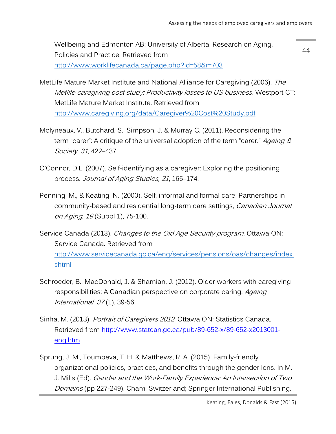Wellbeing and Edmonton AB: University of Alberta, Research on Aging, Policies and Practice. Retrieved from [http://www.worklifecanada.ca/page.php?id=58&r=703](http://www.worklifecanada.ca/page.php?id=58&r=703%20%20) 

44

MetLife Mature Market Institute and National Alliance for Caregiving (2006). The Metlife caregiving cost study: Productivity losses to US business. Westport CT: MetLife Mature Market Institute. Retrieved from <http://www.caregiving.org/data/Caregiver%20Cost%20Study.pdf>

- Molyneaux, V., Butchard, S., Simpson, J. & Murray C. (2011). Reconsidering the term "carer": A critique of the universal adoption of the term "carer." Ageing & Society, 31, 422–437.
- O'Connor, D.L. (2007). Self-identifying as a caregiver: Exploring the positioning process. Journal of Aging Studies, 21, 165–174.
- Penning, M., & Keating, N. (2000). Self, informal and formal care: Partnerships in community-based and residential long-term care settings, Canadian Journal on Aging, 19 (Suppl 1), 75-100.
- Service Canada (2013). Changes to the Old Age Security program. Ottawa ON: Service Canada. Retrieved from [http://www.servicecanada.gc.ca/eng/services/pensions/oas/changes/index.](http://www.servicecanada.gc.ca/eng/services/pensions/oas/changes/index.shtml) [shtml](http://www.servicecanada.gc.ca/eng/services/pensions/oas/changes/index.shtml)
- Schroeder, B., MacDonald, J. & Shamian, J. (2012). Older workers with caregiving responsibilities: A Canadian perspective on corporate caring. Ageing International, 37 (1), 39-56.
- Sinha, M. (2013). Portrait of Caregivers 2012. Ottawa ON: Statistics Canada. Retrieved from [http://www.statcan.gc.ca/pub/89-652-x/89-652-x2013001](http://www.statcan.gc.ca/pub/89-652-x/89-652-x2013001-eng.htm) [eng.htm](http://www.statcan.gc.ca/pub/89-652-x/89-652-x2013001-eng.htm)
- Sprung, J. M., Toumbeva, T. H. & Matthews, R. A. (2015). Family-friendly organizational policies, practices, and benefits through the gender lens. In M. J. Mills (Ed). Gender and the Work-Family Experience: An Intersection of Two Domains (pp 227-249). Cham, Switzerland; Springer International Publishing.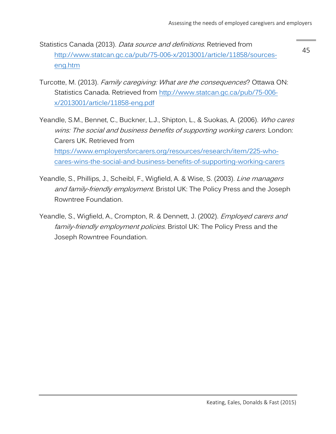- Statistics Canada (2013). Data source and definitions. Retrieved from [http://www.statcan.gc.ca/pub/75-006-x/2013001/article/11858/sources](http://www.statcan.gc.ca/pub/75-006-x/2013001/article/11858/sources-eng.htm)[eng.htm](http://www.statcan.gc.ca/pub/75-006-x/2013001/article/11858/sources-eng.htm)
- Turcotte, M. (2013). Family caregiving: What are the consequences? Ottawa ON: Statistics Canada. Retrieved from [http://www.statcan.gc.ca/pub/75-006](http://www.statcan.gc.ca/pub/75-006-x/2013001/article/11858-eng.pdf) [x/2013001/article/11858-eng.pdf](http://www.statcan.gc.ca/pub/75-006-x/2013001/article/11858-eng.pdf)
- Yeandle, S.M., Bennet, C., Buckner, L.J., Shipton, L., & Suokas, A. (2006). Who cares wins: The social and business benefits of supporting working carers. London: Carers UK. Retrieved from [https://www.employersforcarers.org/resources/research/item/225-who](https://www.employersforcarers.org/resources/research/item/225-who-cares-wins-the-social-and-business-benefits-of-supporting-working-carers)[cares-wins-the-social-and-business-benefits-of-supporting-working-carers](https://www.employersforcarers.org/resources/research/item/225-who-cares-wins-the-social-and-business-benefits-of-supporting-working-carers)
- Yeandle, S., Phillips, J., Scheibl, F., Wigfield, A. & Wise, S. (2003). Line managers and family-friendly employment. Bristol UK: The Policy Press and the Joseph Rowntree Foundation.
- Yeandle, S., Wigfield, A., Crompton, R. & Dennett, J. (2002). *Employed carers and* family-friendly employment policies. Bristol UK: The Policy Press and the Joseph Rowntree Foundation.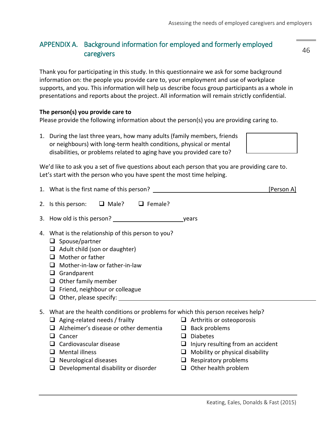# <span id="page-45-0"></span>APPENDIX A. Background information for employed and formerly employed caregivers

Thank you for participating in this study. In this questionnaire we ask for some background information on: the people you provide care to, your employment and use of workplace supports, and you. This information will help us describe focus group participants as a whole in presentations and reports about the project. All information will remain strictly confidential.

#### **The person(s) you provide care to**

Please provide the following information about the person(s) you are providing caring to.

1. During the last three years, how many adults (family members, friends or neighbours) with long-term health conditions, physical or mental disabilities, or problems related to aging have you provided care to?

We'd like to ask you a set of five questions about each person that you are providing care to. Let's start with the person who you have spent the most time helping.

|    |                                                                                                                                                                                                                                                                                                                  | [Person A]                                                                                                                                                                                                                      |
|----|------------------------------------------------------------------------------------------------------------------------------------------------------------------------------------------------------------------------------------------------------------------------------------------------------------------|---------------------------------------------------------------------------------------------------------------------------------------------------------------------------------------------------------------------------------|
|    | 2. Is this person: $\Box$ Male? $\Box$ Female?                                                                                                                                                                                                                                                                   |                                                                                                                                                                                                                                 |
|    | 3. How old is this person?                                                                                                                                                                                                                                                                                       | vears                                                                                                                                                                                                                           |
|    | 4. What is the relationship of this person to you?<br>$\Box$ Spouse/partner<br>$\Box$ Adult child (son or daughter)<br>Mother or father<br>$\Box$<br>Mother-in-law or father-in-law<br>$\sqcup$<br>$\Box$ Grandparent<br>$\Box$ Other family member<br>Friend, neighbour or colleague<br>⊔<br>⊔                  |                                                                                                                                                                                                                                 |
| 5. | What are the health conditions or problems for which this person receives help?<br>$\Box$ Aging-related needs / frailty<br>Alzheimer's disease or other dementia<br>Cancer<br>ப<br>Cardiovascular disease<br>⊔<br>Mental illness<br>⊔<br>Neurological diseases<br>⊔<br>Developmental disability or disorder<br>❏ | $\Box$ Arthritis or osteoporosis<br>$\Box$ Back problems<br>$\Box$ Diabetes<br>$\Box$ Injury resulting from an accident<br>$\Box$ Mobility or physical disability<br>$\Box$ Respiratory problems<br>$\Box$ Other health problem |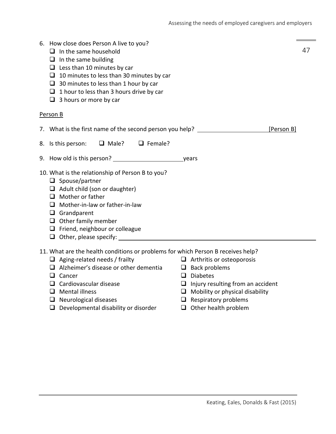| 6. How close does Person A live to you?<br>$\Box$ In the same household<br>$\Box$ In the same building<br>$\Box$ Less than 10 minutes by car<br>$\Box$ 10 minutes to less than 30 minutes by car<br>$\Box$ 30 minutes to less than 1 hour by car<br>$\Box$ 1 hour to less than 3 hours drive by car<br>$\Box$ 3 hours or more by car |                                                                                                                         | 47         |  |
|--------------------------------------------------------------------------------------------------------------------------------------------------------------------------------------------------------------------------------------------------------------------------------------------------------------------------------------|-------------------------------------------------------------------------------------------------------------------------|------------|--|
| Person B                                                                                                                                                                                                                                                                                                                             |                                                                                                                         |            |  |
| 7. What is the first name of the second person you help?                                                                                                                                                                                                                                                                             |                                                                                                                         | [Person B] |  |
| 8. Is this person: <b>Q</b> Male? <b>Q</b> Female?                                                                                                                                                                                                                                                                                   |                                                                                                                         |            |  |
| 9. How old is this person? ___________________                                                                                                                                                                                                                                                                                       | years                                                                                                                   |            |  |
| 10. What is the relationship of Person B to you?<br>$\Box$ Spouse/partner<br>$\Box$ Adult child (son or daughter)<br>$\Box$ Mother or father<br>Mother-in-law or father-in-law<br>ப<br>$\Box$ Grandparent<br>$\Box$ Other family member<br>$\Box$ Friend, neighbour or colleague<br>$\Box$ Other, please specify:                    |                                                                                                                         |            |  |
| 11. What are the health conditions or problems for which Person B receives help?<br>$\Box$ Aging-related needs / frailty<br>$\Box$ Alzheimer's disease or other dementia<br>Cancer<br>⊔<br>$\Box$ Cardiovascular disease                                                                                                             | $\Box$ Arthritis or osteoporosis<br>$\Box$ Back problems<br>$\Box$ Diabetes<br>$\Box$ Injury resulting from an accident |            |  |

- 
- 
- $\Box$  Neurological diseases
- $\Box$  Developmental disability or disorder  $\Box$  Other health problem
- 
- $\Box$  Mental illness<br>  $\Box$  Mobility or physical disability<br>  $\Box$  Neurological diseases<br>  $\Box$  Respiratory problems
	-
	-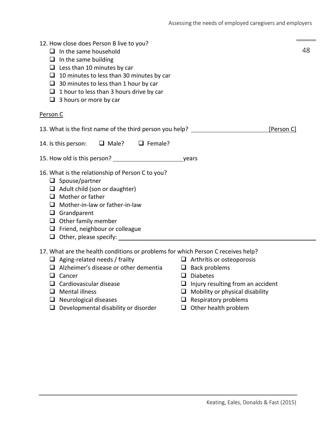| 12. How close does Person B live to you?<br>$\Box$ In the same household<br>$\Box$ In the same building<br>$\Box$ Less than 10 minutes by car<br>$\Box$ 10 minutes to less than 30 minutes by car<br>$\Box$ 30 minutes to less than 1 hour by car<br>$\Box$ 1 hour to less than 3 hours drive by car<br>$\Box$ 3 hours or more by car |                                                                                                                         | 48 |
|---------------------------------------------------------------------------------------------------------------------------------------------------------------------------------------------------------------------------------------------------------------------------------------------------------------------------------------|-------------------------------------------------------------------------------------------------------------------------|----|
| Person C                                                                                                                                                                                                                                                                                                                              |                                                                                                                         |    |
| 13. What is the first name of the third person you help?                                                                                                                                                                                                                                                                              | [Person C]                                                                                                              |    |
| $\Box$ Male? $\Box$ Female?<br>14. Is this person:                                                                                                                                                                                                                                                                                    |                                                                                                                         |    |
|                                                                                                                                                                                                                                                                                                                                       |                                                                                                                         |    |
| 16. What is the relationship of Person C to you?<br>$\Box$ Spouse/partner<br>$\Box$ Adult child (son or daughter)<br>$\Box$ Mother or father<br>$\Box$ Mother-in-law or father-in-law<br>$\Box$ Grandparent<br>$\Box$ Other family member<br>$\Box$ Friend, neighbour or colleague                                                    |                                                                                                                         |    |
| 17. What are the health conditions or problems for which Person C receives help?<br>$\Box$ Aging-related needs / frailty<br>$\Box$ Alzheimer's disease or other dementia<br>Cancer<br>ப<br>$\Box$ Cardiovascular disease                                                                                                              | $\Box$ Arthritis or osteoporosis<br>$\Box$ Back problems<br>$\Box$ Diabetes<br>$\Box$ Injury resulting from an accident |    |

- 
- $\Box$  Neurological diseases
- $\Box$  Developmental disability or disorder  $\Box$  Other health problem
- **O** Mental illness **Mobility or physical disability**<br> **O** Neurological diseases **Mobility O** Respiratory problems
	- -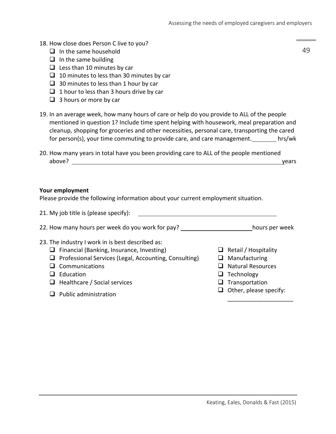- 18. How close does Person C live to you?
	- $\Box$  In the same household
	- $\Box$  In the same building
	- $\Box$  Less than 10 minutes by car
	- $\Box$  10 minutes to less than 30 minutes by car
	- $\Box$  30 minutes to less than 1 hour by car
	- $\Box$  1 hour to less than 3 hours drive by car
	- $\Box$  3 hours or more by car
- 19. In an average week, how many hours of care or help do you provide to ALL of the people mentioned in question 1? Include time spent helping with housework, meal preparation and cleanup, shopping for groceries and other necessities, personal care, transporting the cared for person(s), your time commuting to provide care, and care management. hrs/wk
- 20. How many years in total have you been providing care to ALL of the people mentioned above? years above when the contract of the contract of the contract of the contract of the contract of the contract of the contract of the contract of the contract of the contract of the contract of the contract of the co

#### **Your employment**

Please provide the following information about your current employment situation.

| 21. My job title is (please specify):                                                                                                                                                                                                           |                                                                                                                                                |
|-------------------------------------------------------------------------------------------------------------------------------------------------------------------------------------------------------------------------------------------------|------------------------------------------------------------------------------------------------------------------------------------------------|
| 22. How many hours per week do you work for pay?                                                                                                                                                                                                | hours per week                                                                                                                                 |
| 23. The industry I work in is best described as:<br>$\Box$ Financial (Banking, Insurance, Investing)<br>Professional Services (Legal, Accounting, Consulting)<br>ப<br>$\Box$ Communications<br>Education<br>$\Box$ Healthcare / Social services | Retail / Hospitality<br>Manufacturing<br>u<br><b>Natural Resources</b><br>$\Box$ Technology<br>$\Box$ Transportation<br>Other, please specify: |
| Public administration                                                                                                                                                                                                                           |                                                                                                                                                |

\_\_\_\_\_\_\_\_\_\_\_\_\_\_\_\_\_\_\_\_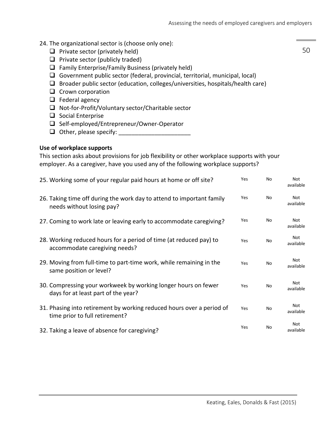#### 24. The organizational sector is (choose only one):

- $\Box$  Private sector (privately held)
- $\Box$  Private sector (publicly traded)
- $\Box$  Family Enterprise/Family Business (privately held)
- Government public sector (federal, provincial, territorial, municipal, local)
- $\Box$  Broader public sector (education, colleges/universities, hospitals/health care)
- $\Box$  Crown corporation
- $\Box$  Federal agency
- $\Box$  Not-for-Profit/Voluntary sector/Charitable sector
- $\Box$  Social Enterprise
- □ Self-employed/Entrepreneur/Owner-Operator
- Other, please specify: \_\_\_\_\_\_\_\_\_\_\_\_\_\_\_\_\_\_\_\_\_\_

#### **Use of workplace supports**

This section asks about provisions for job flexibility or other workplace supports with your employer. As a caregiver, have you used any of the following workplace supports?

| 25. Working some of your regular paid hours at home or off site?                                        | Yes        | No | <b>Not</b><br>available |
|---------------------------------------------------------------------------------------------------------|------------|----|-------------------------|
| 26. Taking time off during the work day to attend to important family<br>needs without losing pay?      | Yes        | No | Not<br>available        |
| 27. Coming to work late or leaving early to accommodate caregiving?                                     | <b>Yes</b> | No | <b>Not</b><br>available |
| 28. Working reduced hours for a period of time (at reduced pay) to<br>accommodate caregiving needs?     | Yes        | No | <b>Not</b><br>available |
| 29. Moving from full-time to part-time work, while remaining in the<br>same position or level?          | Yes        | No | Not<br>available        |
| 30. Compressing your workweek by working longer hours on fewer<br>days for at least part of the year?   | Yes        | No | Not<br>available        |
| 31. Phasing into retirement by working reduced hours over a period of<br>time prior to full retirement? | Yes        | No | <b>Not</b><br>available |
| 32. Taking a leave of absence for caregiving?                                                           | Yes        | No | <b>Not</b><br>available |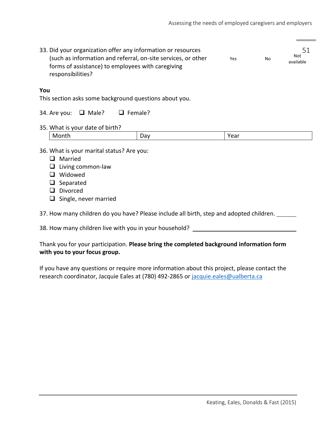| 33. Did your organization offer any information or resources<br>(such as information and referral, on-site services, or other<br>Yes<br>No<br>forms of assistance) to employees with caregiving<br>responsibilities? |  |      | 51<br><b>Not</b><br>available |  |
|----------------------------------------------------------------------------------------------------------------------------------------------------------------------------------------------------------------------|--|------|-------------------------------|--|
| You<br>This section asks some background questions about you.<br>$\Box$ Female?<br>34. Are you:<br>$\Box$ Male?                                                                                                      |  |      |                               |  |
| 35. What is your date of birth?<br>Month                                                                                                                                                                             |  | Year |                               |  |
| Day<br>36. What is your marital status? Are you:<br>Married<br>l 1<br>Living common-law<br>Widowed<br>ப<br>Separated<br>Divorced<br>l 1<br>Single, never married<br>⊔                                                |  |      |                               |  |

37. How many children do you have? Please include all birth, step and adopted children.

38. How many children live with you in your household? \_\_\_\_\_\_\_\_\_\_\_\_\_\_\_\_\_\_\_\_\_\_\_\_\_

Thank you for your participation. **Please bring the completed background information form with you to your focus group.** 

If you have any questions or require more information about this project, please contact the research coordinator, Jacquie Eales at (780) 492-2865 or [jacquie.eales@ualberta.ca](mailto:jacquie.eales@ualberta.ca)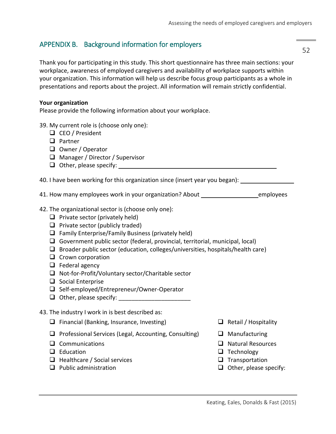# <span id="page-51-0"></span>APPENDIX B. Background information for employers

Thank you for participating in this study. This short questionnaire has three main sections: your workplace, awareness of employed caregivers and availability of workplace supports within your organization. This information will help us describe focus group participants as a whole in presentations and reports about the project. All information will remain strictly confidential.

#### **Your organization**

Please provide the following information about your workplace.

- 39. My current role is (choose only one):
	- □ CEO / President
	- $\Box$  Partner
	- $\Box$  Owner / Operator
	- □ Manager / Director / Supervisor
	- Other, please specify:

40. I have been working for this organization since (insert year you began):

41. How many employees work in your organization? About \_\_\_\_\_\_\_\_\_\_\_\_\_\_\_\_\_\_\_\_\_\_\_\_employees

- 42. The organizational sector is (choose only one):
	- $\Box$  Private sector (privately held)
	- $\Box$  Private sector (publicly traded)
	- $\Box$  Family Enterprise/Family Business (privately held)
	- Government public sector (federal, provincial, territorial, municipal, local)
	- $\Box$  Broader public sector (education, colleges/universities, hospitals/health care)
	- $\Box$  Crown corporation
	- $\Box$  Federal agency
	- $\Box$  Not-for-Profit/Voluntary sector/Charitable sector
	- $\Box$  Social Enterprise
	- □ Self-employed/Entrepreneur/Owner-Operator
	- $\Box$  Other, please specify:
- 43. The industry I work in is best described as:
	- $\Box$  Financial (Banking, Insurance, Investing)  $\Box$  Retail / Hospitality
	- $\Box$  Professional Services (Legal, Accounting, Consulting)  $\Box$  Manufacturing
	-
	-
	- $\Box$  Healthcare / Social services  $\Box$  Transportation
	-
- 
- 
- **Q** Communications **Natural Resources**
- $\square$  Education  $\square$  Technology
	-
- $\Box$  Public administration  $\Box$  Other, please specify: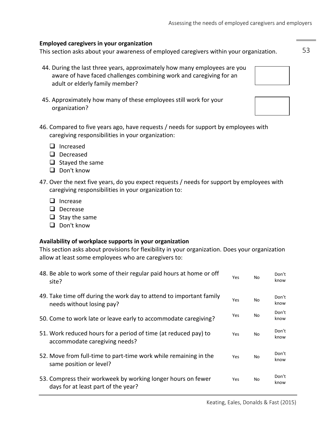#### **Employed caregivers in your organization**

This section asks about your awareness of employed caregivers within your organization.

- 44. During the last three years, approximately how many employees are you aware of have faced challenges combining work and caregiving for an adult or elderly family member?
- 45. Approximately how many of these employees still work for your organization?
- 46. Compared to five years ago, have requests / needs for support by employees with caregiving responsibilities in your organization:
	- $\Box$  Increased
	- Decreased
	- $\Box$  Stayed the same
	- D Don't know
- 47. Over the next five years, do you expect requests / needs for support by employees with caregiving responsibilities in your organization to:
	- $\Box$  Increase
	- D Decrease
	- $\Box$  Stay the same
	- D Don't know

#### **Availability of workplace supports in your organization**

This section asks about provisions for flexibility in your organization. Does your organization allow at least some employees who are caregivers to:

| 48. Be able to work some of their regular paid hours at home or off<br>site?                        | Yes        | No | Don't<br>know |
|-----------------------------------------------------------------------------------------------------|------------|----|---------------|
| 49. Take time off during the work day to attend to important family<br>needs without losing pay?    | Yes        | No | Don't<br>know |
| 50. Come to work late or leave early to accommodate caregiving?                                     | Yes        | No | Don't<br>know |
| 51. Work reduced hours for a period of time (at reduced pay) to<br>accommodate caregiving needs?    | Yes        | No | Don't<br>know |
| 52. Move from full-time to part-time work while remaining in the<br>same position or level?         | Yes        | No | Don't<br>know |
| 53. Compress their workweek by working longer hours on fewer<br>days for at least part of the year? | <b>Yes</b> | No | Don't<br>know |